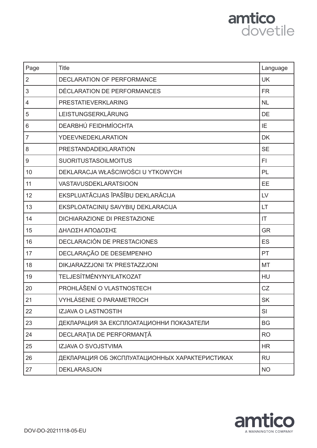

| Page           | <b>Title</b>                                   | Language  |
|----------------|------------------------------------------------|-----------|
| $\overline{2}$ | DECLARATION OF PERFORMANCE                     | <b>UK</b> |
| 3              | DÉCLARATION DE PERFORMANCES                    | <b>FR</b> |
| $\overline{4}$ | PRESTATIEVERKLARING                            | <b>NL</b> |
| 5              | LEISTUNGSERKLÄRUNG                             | <b>DE</b> |
| 6              | DEARBHÚ FEIDHMÍOCHTA                           | IE        |
| $\overline{7}$ | <b>YDEEVNEDEKLARATION</b>                      | <b>DK</b> |
| 8              | PRESTANDADEKLARATION                           | <b>SE</b> |
| 9              | <b>SUORITUSTASOILMOITUS</b>                    | FI        |
| 10             | DEKLARACJA WŁAŚCIWOŚCI U YTKOWYCH              | PL        |
| 11             | <b>VASTAVUSDEKLARATSIOON</b>                   | EE        |
| 12             | EKSPLUATĀCIJAS ĪPAŠĪBU DEKLARĀCIJA             | LV        |
| 13             | EKSPLOATACINIŲ SAVYBIŲ DEKLARACIJA             | LT        |
| 14             | <b>DICHIARAZIONE DI PRESTAZIONE</b>            | IT        |
| 15             | ΔΗΛΩΣΗ ΑΠΟΔΟΣΗΣ                                | <b>GR</b> |
| 16             | DECLARACIÓN DE PRESTACIONES                    | <b>ES</b> |
| 17             | DECLARAÇÃO DE DESEMPENHO                       | PT        |
| 18             | DIKJARAZZJONI TA' PRESTAZZJONI                 | <b>MT</b> |
| 19             | TELJESÍTMÉNYNYILATKOZAT                        | HU        |
| 20             | PROHLÁŠENÍ O VLASTNOSTECH                      | CZ        |
| 21             | VYHLÁSENIE O PARAMETROCH                       | <b>SK</b> |
| 22             | <b>IZJAVA O LASTNOSTIH</b>                     | SI        |
| 23             | ДЕКЛАРАЦИЯ ЗА ЕКСПЛОАТАЦИОННИ ПОКАЗАТЕЛИ       | <b>BG</b> |
| 24             | DECLARAȚIA DE PERFORMANȚĂ                      | <b>RO</b> |
| 25             | IZJAVA O SVOJSTVIMA                            | <b>HR</b> |
| 26             | ДЕКЛАРАЦИЯ ОБ ЭКСПЛУАТАЦИОННЫХ ХАРАКТЕРИСТИКАХ | <b>RU</b> |
| 27             | <b>DEKLARASJON</b>                             | <b>NO</b> |

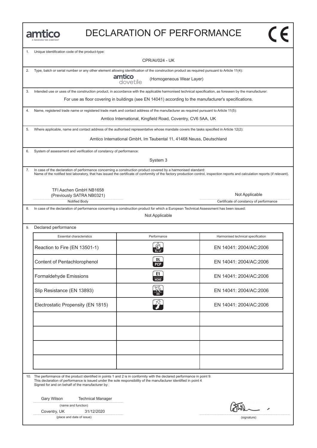| <b>JANNINGTON COMPANY</b> |
|---------------------------|

#### DECLARATION OF PERFORMANCE

| 1. | Unique identification code of the product-type:                                                                                                                                                                                                                                                     |                                                                      |                                                                                                                                                                                  |
|----|-----------------------------------------------------------------------------------------------------------------------------------------------------------------------------------------------------------------------------------------------------------------------------------------------------|----------------------------------------------------------------------|----------------------------------------------------------------------------------------------------------------------------------------------------------------------------------|
|    |                                                                                                                                                                                                                                                                                                     | <b>CPR/AI/024 - UK</b>                                               |                                                                                                                                                                                  |
| 2. | Type, batch or serial number or any other element allowing identification of the construction product as required pursuant to Article 11(4):                                                                                                                                                        |                                                                      |                                                                                                                                                                                  |
|    | amtico                                                                                                                                                                                                                                                                                              | (Homogeneous Wear Layer)<br>dovetile                                 |                                                                                                                                                                                  |
| 3. | Intended use or uses of the construction product, in accordance with the applicable harmonised technical specification, as foreseen by the manufacturer:                                                                                                                                            |                                                                      |                                                                                                                                                                                  |
|    |                                                                                                                                                                                                                                                                                                     |                                                                      | For use as floor covering in buildings (see EN 14041) according to the manufacturer's specifications.                                                                            |
| 4. | Name, registered trade name or registered trade mark and contact address of the manufacturer as required pursuant to Article 11(5):                                                                                                                                                                 |                                                                      |                                                                                                                                                                                  |
|    |                                                                                                                                                                                                                                                                                                     | Amtico International, Kingfield Road, Coventry, CV6 5AA, UK          |                                                                                                                                                                                  |
| 5. | Where applicable, name and contact address of the authorised representative whose mandate covers the tasks specified in Article 12(2):                                                                                                                                                              |                                                                      |                                                                                                                                                                                  |
|    |                                                                                                                                                                                                                                                                                                     | Amtico International GmbH, Im Taubental 11, 41468 Neuss, Deutschland |                                                                                                                                                                                  |
| 6. | System of assessment and verification of constancy of performance:                                                                                                                                                                                                                                  |                                                                      |                                                                                                                                                                                  |
|    |                                                                                                                                                                                                                                                                                                     | System 3                                                             |                                                                                                                                                                                  |
| 7. | In case of the declaration of performance concerning a construction product covered by a harmonised standard:                                                                                                                                                                                       |                                                                      | Name of the notified test laboratory, that has issued the certificate of conformity of the factory production control, inspection reports and calculation reports (if relevant). |
|    | TFI Aachen GmbH NB1658                                                                                                                                                                                                                                                                              |                                                                      |                                                                                                                                                                                  |
|    | (Previously SATRA NB0321)                                                                                                                                                                                                                                                                           |                                                                      | Not Applicable                                                                                                                                                                   |
|    | Notified Body                                                                                                                                                                                                                                                                                       |                                                                      | Certificate of constancy of performance                                                                                                                                          |
| 8. | In case of the declaration of performance concerning a construction product for which a European Technical Assessment has been issued:                                                                                                                                                              | Not Applicable                                                       |                                                                                                                                                                                  |
|    |                                                                                                                                                                                                                                                                                                     |                                                                      |                                                                                                                                                                                  |
| 9. | Declared performance                                                                                                                                                                                                                                                                                |                                                                      |                                                                                                                                                                                  |
|    | <b>Essential characteristics</b>                                                                                                                                                                                                                                                                    | Performance                                                          | Harmonised technical specification                                                                                                                                               |
|    | Reaction to Fire (EN 13501-1)                                                                                                                                                                                                                                                                       |                                                                      | EN 14041: 2004/AC:2006                                                                                                                                                           |
|    | Content of Pentachlorophenol                                                                                                                                                                                                                                                                        | DL<br><b>PCP</b>                                                     | EN 14041: 2004/AC:2006                                                                                                                                                           |
|    | Formaldehyde Emissions                                                                                                                                                                                                                                                                              | E1<br><b>HCHO</b>                                                    | EN 14041: 2004/AC:2006                                                                                                                                                           |
|    | Slip Resistance (EN 13893)                                                                                                                                                                                                                                                                          |                                                                      | EN 14041: 2004/AC:2006                                                                                                                                                           |
|    | Electrostatic Propensity (EN 1815)                                                                                                                                                                                                                                                                  |                                                                      | EN 14041: 2004/AC:2006                                                                                                                                                           |
|    |                                                                                                                                                                                                                                                                                                     |                                                                      |                                                                                                                                                                                  |
|    |                                                                                                                                                                                                                                                                                                     |                                                                      |                                                                                                                                                                                  |
|    |                                                                                                                                                                                                                                                                                                     |                                                                      |                                                                                                                                                                                  |
|    |                                                                                                                                                                                                                                                                                                     |                                                                      |                                                                                                                                                                                  |
|    |                                                                                                                                                                                                                                                                                                     |                                                                      |                                                                                                                                                                                  |
|    |                                                                                                                                                                                                                                                                                                     |                                                                      |                                                                                                                                                                                  |
|    | 10. The performance of the product identified in points 1 and 2 is in conformity with the declared performance in point 9.<br>This declaration of performance is issued under the sole responsibility of the manufacturer identified in point 4<br>Signed for and on behalf of the manufacturer by: |                                                                      |                                                                                                                                                                                  |
|    | Gary Wilson                                                                                                                                                                                                                                                                                         |                                                                      |                                                                                                                                                                                  |
|    | <b>Technical Manager</b><br>(name and function)                                                                                                                                                                                                                                                     |                                                                      |                                                                                                                                                                                  |
|    | Coventry, UK<br>31/12/2020                                                                                                                                                                                                                                                                          |                                                                      |                                                                                                                                                                                  |
|    | (place and date of issue)                                                                                                                                                                                                                                                                           |                                                                      | (signature)                                                                                                                                                                      |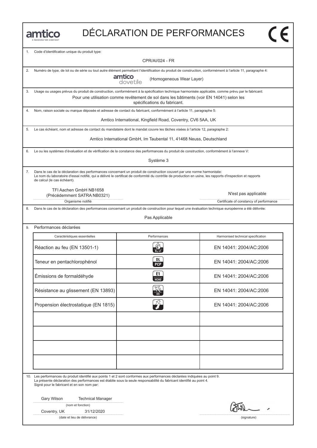

| 1. | Code d'identification unique du produit type:                                                                                                                                                                                                                                                                       |                                                                                                                           |                                         |
|----|---------------------------------------------------------------------------------------------------------------------------------------------------------------------------------------------------------------------------------------------------------------------------------------------------------------------|---------------------------------------------------------------------------------------------------------------------------|-----------------------------------------|
|    | <b>CPR/AI/024 - FR</b>                                                                                                                                                                                                                                                                                              |                                                                                                                           |                                         |
| 2. | Numéro de type, de lot ou de série ou tout autre élément permettant l'identification du produit de construction, conformément à l'article 11, paragraphe 4:<br>amtico<br>dovetile<br>(Homogeneous Wear Layer)                                                                                                       |                                                                                                                           |                                         |
| 3. | Usage ou usages prévus du produit de construction, conformément à la spécification technique harmonisée applicable, comme prévu par le fabricant:                                                                                                                                                                   |                                                                                                                           |                                         |
|    |                                                                                                                                                                                                                                                                                                                     | Pour une utilisation comme revêtement de sol dans les bâtiments (voir EN 14041) selon les<br>spécifications du fabricant. |                                         |
| 4. | Nom, raison sociale ou marque déposée et adresse de contact du fabricant, conformément à l'article 11, paragraphe 5:                                                                                                                                                                                                |                                                                                                                           |                                         |
|    |                                                                                                                                                                                                                                                                                                                     | Amtico International, Kingfield Road, Coventry, CV6 5AA, UK                                                               |                                         |
| 5. | Le cas échéant, nom et adresse de contact du mandataire dont le mandat couvre les tâches visées à l'article 12, paragraphe 2:                                                                                                                                                                                       |                                                                                                                           |                                         |
|    |                                                                                                                                                                                                                                                                                                                     | Amtico International GmbH, Im Taubental 11, 41468 Neuss, Deutschland                                                      |                                         |
| 6. | Le ou les systèmes d'évaluation et de vérification de la constance des performances du produit de construction, conformément à l'annexe V:                                                                                                                                                                          |                                                                                                                           |                                         |
|    |                                                                                                                                                                                                                                                                                                                     | Système 3                                                                                                                 |                                         |
| 7. | Dans le cas de la déclaration des performances concernant un produit de construction couvert par une norme harmonisée:<br>Le nom du laboratoire d'essai notifié, qui a délivré le certificat de conformité du contrôle de production en usine, les rapports d'inspection et rapports<br>de calcul (le cas échéant). |                                                                                                                           |                                         |
|    | TFI Aachen GmbH NB1658<br>(Précédemment SATRA NB0321)                                                                                                                                                                                                                                                               |                                                                                                                           | N'est pas applicable                    |
|    | Organisme notifié                                                                                                                                                                                                                                                                                                   |                                                                                                                           | Certificate of constancy of performance |
| 8. | Dans le cas de la déclaration des performances concernant un produit de construction pour lequel une évaluation technique européenne a été délivrée:                                                                                                                                                                | Pas Applicable                                                                                                            |                                         |
| 9. | Performances déclarées                                                                                                                                                                                                                                                                                              |                                                                                                                           |                                         |
|    | Caractéristiques essentielles                                                                                                                                                                                                                                                                                       | Performances                                                                                                              | Harmonised technical specification      |
|    | Réaction au feu (EN 13501-1)                                                                                                                                                                                                                                                                                        |                                                                                                                           | EN 14041: 2004/AC:2006                  |
|    | Teneur en pentachlorophénol                                                                                                                                                                                                                                                                                         | DL<br><b>PCP</b>                                                                                                          | EN 14041: 2004/AC:2006                  |
|    | Émissions de formaldéhyde                                                                                                                                                                                                                                                                                           | E1<br><b>НСНО</b>                                                                                                         | EN 14041: 2004/AC:2006                  |
|    | Résistance au glissement (EN 13893)                                                                                                                                                                                                                                                                                 |                                                                                                                           | EN 14041: 2004/AC:2006                  |
|    | Propension électrostatique (EN 1815)                                                                                                                                                                                                                                                                                |                                                                                                                           | EN 14041: 2004/AC:2006                  |
|    |                                                                                                                                                                                                                                                                                                                     |                                                                                                                           |                                         |
|    |                                                                                                                                                                                                                                                                                                                     |                                                                                                                           |                                         |
|    |                                                                                                                                                                                                                                                                                                                     |                                                                                                                           |                                         |
|    |                                                                                                                                                                                                                                                                                                                     |                                                                                                                           |                                         |
|    |                                                                                                                                                                                                                                                                                                                     |                                                                                                                           |                                         |
|    | 10. Les performances du produit identifié aux points 1 et 2 sont conformes aux performances déclarées indiquées au point 9.<br>La présente déclaration des performances est établie sous la seule responsabilité du fabricant identifié au point 4.<br>Signé pour le fabricant et en son nom par:                   |                                                                                                                           |                                         |
|    | Gary Wilson<br><b>Technical Manager</b>                                                                                                                                                                                                                                                                             |                                                                                                                           |                                         |
|    | (nom et fonction)                                                                                                                                                                                                                                                                                                   |                                                                                                                           |                                         |
|    | 31/12/2020<br>Coventry, UK<br>(date et lieu de délivrance)                                                                                                                                                                                                                                                          |                                                                                                                           | (signature)                             |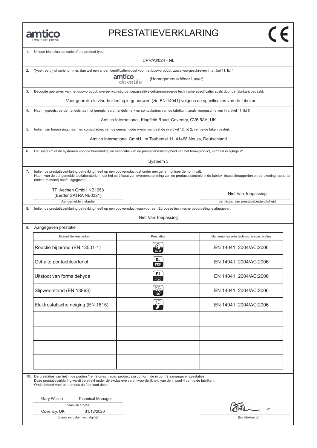#### PRESTATIEVERKLARING

| 1. | Unique identification code of the product-type:<br><b>CPR/AI/024 - NL</b>                                                                                               |                                                                      |                                                                                                                                                                     |
|----|-------------------------------------------------------------------------------------------------------------------------------------------------------------------------|----------------------------------------------------------------------|---------------------------------------------------------------------------------------------------------------------------------------------------------------------|
| 2. | Type-, partij- of serienummer, dan wel een ander identificatiemiddel voor het bouwproduct, zoals voorgeschreven in artikel 11, lid 4:                                   |                                                                      |                                                                                                                                                                     |
|    |                                                                                                                                                                         | amtico<br>dovetile<br>(Homogeneous Wear Layer)                       |                                                                                                                                                                     |
| 3. | Beoogde gebruiken van het bouwproduct, overeenkomstig de toepasselijke geharmoniseerde technische specificatie, zoals door de fabrikant bepaald:                        |                                                                      |                                                                                                                                                                     |
|    |                                                                                                                                                                         |                                                                      | Voor gebruik als vloerbekleding in gebouwen (zie EN 14041) volgens de specificaties van de fabrikant.                                                               |
| 4. | Naam, geregistreerde handelsnaam of geregistreerd handelsmerk en contactadres van de fabrikant, zoals voorgeschre ven in artikel 11, lid 5:                             |                                                                      |                                                                                                                                                                     |
|    |                                                                                                                                                                         | Amtico International, Kingfield Road, Coventry, CV6 5AA, UK          |                                                                                                                                                                     |
| 5. | Indien van toepassing, naam en contactadres van de gemachtigde wiens mandaat de in artikel 12, lid 2, vermelde taken bestrijkt:                                         |                                                                      |                                                                                                                                                                     |
|    |                                                                                                                                                                         | Amtico International GmbH, Im Taubental 11, 41468 Neuss, Deutschland |                                                                                                                                                                     |
| 6. | Het systeem of de systemen voor de beoordeling en verificatie van de prestatiebestendigheid van het bouwproduct, vermeld in bijlage V:                                  |                                                                      |                                                                                                                                                                     |
|    |                                                                                                                                                                         | Systeem 3                                                            |                                                                                                                                                                     |
| 7. | Indien de prestatieverklaring betrekking heeft op een bouwproduct dat onder een geharmoniseerde norm valt:<br>(indien relevant) heeft uitgegeven.                       |                                                                      | Naam van de aangemelde testlaboratorium, dat het certificaat van overeenstemming van de productiecontrole in de fabriek, inspectierapporten en berekening rapporten |
|    | TFI Aachen GmbH NB1658                                                                                                                                                  |                                                                      |                                                                                                                                                                     |
|    | (Eerder SATRA NB0321)<br>Aangemelde instantie                                                                                                                           |                                                                      | Niet Van Toepassing<br>certificaat van prestatiebestendigheid                                                                                                       |
| 8. | Indien de prestatieverklaring betrekking heeft op een bouwproduct waarvoor een Europese technische beoordeling is afgegeven:                                            |                                                                      |                                                                                                                                                                     |
|    |                                                                                                                                                                         | Niet Van Toepassing                                                  |                                                                                                                                                                     |
| 9. | Aangegeven prestatie                                                                                                                                                    |                                                                      |                                                                                                                                                                     |
|    | Essentiële kenmerken                                                                                                                                                    | Prestaties                                                           | Geharmoniseerde technische specificaties                                                                                                                            |
|    | Reactie bij brand (EN 13501-1)                                                                                                                                          | $B_{11}$ -s1                                                         | EN 14041: 2004/AC:2006                                                                                                                                              |
|    | Gehalte pentachloorfenol                                                                                                                                                | DL<br><b>PCP</b>                                                     | EN 14041: 2004/AC:2006                                                                                                                                              |
|    | Uitstoot van formaldehyde                                                                                                                                               | E1<br><b>HCHO</b>                                                    | EN 14041: 2004/AC:2006                                                                                                                                              |
|    | Slipweerstand (EN 13893)                                                                                                                                                |                                                                      | EN 14041: 2004/AC:2006                                                                                                                                              |
|    | Elektrostatische neiging (EN 1815)                                                                                                                                      |                                                                      | EN 14041: 2004/AC:2006                                                                                                                                              |
|    |                                                                                                                                                                         |                                                                      |                                                                                                                                                                     |
|    |                                                                                                                                                                         |                                                                      |                                                                                                                                                                     |
|    | 10. De prestaties van het in de punten 1 en 2 omschreven product zijn conform de in punt 9 aangegeven prestaties.                                                       |                                                                      |                                                                                                                                                                     |
|    | Deze prestatieverklaring wordt verstrekt onder de exclusieve verantwoordelijkheid van de in punt 4 vermelde fabrikant:<br>Ondertekend voor en namens de fabrikant door: |                                                                      |                                                                                                                                                                     |
|    | Gary Wilson<br><b>Technical Manager</b>                                                                                                                                 |                                                                      |                                                                                                                                                                     |
|    | (naam en functie)                                                                                                                                                       |                                                                      |                                                                                                                                                                     |
|    | Coventry, UK<br>31/12/2020                                                                                                                                              |                                                                      |                                                                                                                                                                     |
|    | (plaats en datum van afgifte)                                                                                                                                           |                                                                      | (handtekening)                                                                                                                                                      |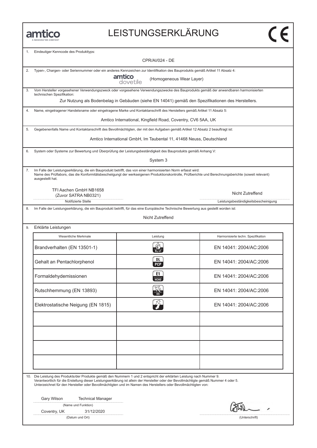### LEISTUNGSERKLÄRUNG

| 1. | Eindeutiger Kenncode des Produkttyps:<br>CPR/AI/024 - DE                                                                                                                                                                                                                                                                                                                         |                                                                      |                                                                                                    |  |
|----|----------------------------------------------------------------------------------------------------------------------------------------------------------------------------------------------------------------------------------------------------------------------------------------------------------------------------------------------------------------------------------|----------------------------------------------------------------------|----------------------------------------------------------------------------------------------------|--|
|    |                                                                                                                                                                                                                                                                                                                                                                                  |                                                                      |                                                                                                    |  |
| 2. | Typen-, Chargen- oder Seriennummer oder ein anderes Kennzeichen zur Identifikation des Bauprodukts gemäß Artikel 11 Absatz 4:<br>amtico                                                                                                                                                                                                                                          | (Homogeneous Wear Layer)<br>dovetile                                 |                                                                                                    |  |
| 3. | Vom Hersteller vorgesehener Verwendungszweck oder vorgesehene Verwendungszwecke des Bauprodukts gemäß der anwendbaren harmonisierten<br>technischen Spezifikation:                                                                                                                                                                                                               |                                                                      |                                                                                                    |  |
|    |                                                                                                                                                                                                                                                                                                                                                                                  |                                                                      | Zur Nutzung als Bodenbelag in Gebäuden (siehe EN 14041) gemäß den Spezifikationen des Herstellers. |  |
| 4. | Name, eingetragener Handelsname oder eingetragene Marke und Kontaktanschrift des Herstellers gemäß Artikel 11 Absatz 5:                                                                                                                                                                                                                                                          |                                                                      |                                                                                                    |  |
|    |                                                                                                                                                                                                                                                                                                                                                                                  | Amtico International, Kingfield Road, Coventry, CV6 5AA, UK          |                                                                                                    |  |
| 5. | Gegebenenfalls Name und Kontaktanschrift des Bevollmächtigten, der mit den Aufgaben gemäß Artikel 12 Absatz 2 beauftragt ist:                                                                                                                                                                                                                                                    |                                                                      |                                                                                                    |  |
|    |                                                                                                                                                                                                                                                                                                                                                                                  | Amtico International GmbH, Im Taubental 11, 41468 Neuss, Deutschland |                                                                                                    |  |
| 6. | System oder Systeme zur Bewertung und Überprüfung der Leistungsbeständigkeit des Bauprodukts gemäß Anhang V:                                                                                                                                                                                                                                                                     |                                                                      |                                                                                                    |  |
|    |                                                                                                                                                                                                                                                                                                                                                                                  | System 3                                                             |                                                                                                    |  |
| 7. | Im Falle der Leistungserklärung, die ein Bauprodukt betrifft, das von einer harmonisierten Norm erfasst wird:<br>Name des Prüflabors, das die Konformitätsbescheiigungt der werkseigenen Produktionskontrolle, Prüfberichte und Berechnungsberichte (soweit relevant)<br>ausgestellt hat.                                                                                        |                                                                      |                                                                                                    |  |
|    | TFI Aachen GmbH NB1658                                                                                                                                                                                                                                                                                                                                                           |                                                                      | Nicht Zutreffend                                                                                   |  |
|    | (Zuvor SATRA NB0321)<br>Notifizierte Stelle                                                                                                                                                                                                                                                                                                                                      |                                                                      | Leistungsbeständigkeitsbescheinigung                                                               |  |
| 8. | Im Falle der Leistungserklärung, die ein Bauprodukt betrifft, für das eine Europäische Technische Bewertung aus gestellt worden ist:                                                                                                                                                                                                                                             |                                                                      |                                                                                                    |  |
|    |                                                                                                                                                                                                                                                                                                                                                                                  | Nicht Zutreffend                                                     |                                                                                                    |  |
| 9. | Erklärte Leistungen                                                                                                                                                                                                                                                                                                                                                              |                                                                      |                                                                                                    |  |
|    | Wesentliche Merkmale                                                                                                                                                                                                                                                                                                                                                             | Leistung                                                             | Harmonisierte techn. Spezifikation                                                                 |  |
|    | Brandverhalten (EN 13501-1)                                                                                                                                                                                                                                                                                                                                                      |                                                                      | EN 14041: 2004/AC:2006                                                                             |  |
|    | Gehalt an Pentachlorphenol                                                                                                                                                                                                                                                                                                                                                       | DL<br><b>PCP</b>                                                     | EN 14041: 2004/AC:2006                                                                             |  |
|    | Formaldehydemissionen                                                                                                                                                                                                                                                                                                                                                            | E1<br>НСНО                                                           | EN 14041: 2004/AC:2006                                                                             |  |
|    | Rutschhemmung (EN 13893)                                                                                                                                                                                                                                                                                                                                                         |                                                                      | EN 14041: 2004/AC:2006                                                                             |  |
|    | Elektrostatische Neigung (EN 1815)                                                                                                                                                                                                                                                                                                                                               |                                                                      | EN 14041: 2004/AC:2006                                                                             |  |
|    |                                                                                                                                                                                                                                                                                                                                                                                  |                                                                      |                                                                                                    |  |
|    |                                                                                                                                                                                                                                                                                                                                                                                  |                                                                      |                                                                                                    |  |
|    |                                                                                                                                                                                                                                                                                                                                                                                  |                                                                      |                                                                                                    |  |
|    |                                                                                                                                                                                                                                                                                                                                                                                  |                                                                      |                                                                                                    |  |
|    |                                                                                                                                                                                                                                                                                                                                                                                  |                                                                      |                                                                                                    |  |
|    | 10. Die Leistung des Produkts/der Produkte gemäß den Nummern 1 und 2 entspricht der erklärten Leistung nach Nummer 9.<br>Verantwortlich für die Erstellung dieser Leistungserklärung ist allein der Hersteller oder der Bevollmächtigte gemäß Nummer 4 oder 5.<br>Unterzeichnet für den Hersteller oder Bevollmächtigten und im Namen des Herstellers oder Bevollmächtigten von: |                                                                      |                                                                                                    |  |
|    | Gary Wilson<br><b>Technical Manager</b>                                                                                                                                                                                                                                                                                                                                          |                                                                      |                                                                                                    |  |
|    | (Name und Funktion)                                                                                                                                                                                                                                                                                                                                                              |                                                                      |                                                                                                    |  |
|    | Coventry, UK<br>31/12/2020                                                                                                                                                                                                                                                                                                                                                       |                                                                      |                                                                                                    |  |
|    | (Datum und Ort)                                                                                                                                                                                                                                                                                                                                                                  |                                                                      | (Unterschrift)                                                                                     |  |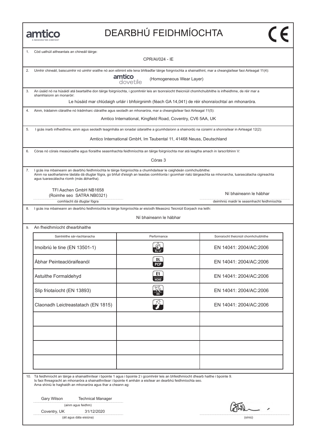# DEARBHÚ FEIDHMÍOCHTA

| 1. | Cód uathúil aitheantais an chineáil táirge:<br>CPR/AI/024 - IE                                                                                                                                                                                                                                                               |                                                                                                    |                                            |
|----|------------------------------------------------------------------------------------------------------------------------------------------------------------------------------------------------------------------------------------------------------------------------------------------------------------------------------|----------------------------------------------------------------------------------------------------|--------------------------------------------|
| 2. | Uimhir chineáil, baiscuimhir nó uimhir sraithe nó aon eilimint eile lena bhféadfar táirge foirgníochta a shainaithint, mar a cheanglaítear faoi Airteagal 11(4):<br>amtico<br>dovetile<br>(Homogeneous Wear Layer)                                                                                                           |                                                                                                    |                                            |
|    |                                                                                                                                                                                                                                                                                                                              |                                                                                                    |                                            |
| 3. | An úsáid nó na húsáidí atá beartaithe don táirge foirgníochta, i gcomhréir leis an tsonraíocht theicniúil chomhchuibhithe is infheidhme, de réir mar a<br>shamhlaíonn an monaróir:                                                                                                                                           | Le húsáid mar chlúdaigh urláir i bhfoirgnimh (féach GA 14,041) de réir shonraíochtaí an mhonaróra. |                                            |
| 4. | Ainm, trádainm cláraithe nó trádmharc cláraithe agus seoladh an mhonaróra, mar a cheanglaítear faoi Airteagal 11(5):                                                                                                                                                                                                         |                                                                                                    |                                            |
|    |                                                                                                                                                                                                                                                                                                                              | Amtico International, Kingfield Road, Coventry, CV6 5AA, UK                                        |                                            |
| 5. | I gcás inarb infheidhme, ainm agus seoladh teagmhála an ionadaí údaraithe a gcumhdaíonn a shainordú na cúraimí a shonraítear in Airteagal 12(2):                                                                                                                                                                             |                                                                                                    |                                            |
|    |                                                                                                                                                                                                                                                                                                                              | Amtico International GmbH, Im Taubental 11, 41468 Neuss, Deutschland                               |                                            |
| 6. | Córas nó córais measúnaithe agus fíoraithe seasmhachta feidhmíochta an táirge foirgníochta mar atá leagtha amach in Iarscríbhinn V:                                                                                                                                                                                          |                                                                                                    |                                            |
|    |                                                                                                                                                                                                                                                                                                                              | Córas 3                                                                                            |                                            |
| 7. | I gcás ina mbaineann an dearbhú feidhmíochta le táirge foirgníochta a chumhdaítear le caighdeán comhchuibhithe:<br>Ainm na saotharlainne tástála dá dtugtar fógra, go bhfuil d'eisigh an teastas comhlíonta i gcomhair rialú táirgeachta sa mhonarcha, tuarascálacha cigireachta<br>agus tuarascálacha ríomh (más ábhartha). |                                                                                                    |                                            |
|    | TFI Aachen GmbH NB1658<br>(Roimhe seo SATRA NB0321)                                                                                                                                                                                                                                                                          |                                                                                                    | Ní bhaineann le hábhar                     |
|    | comhlacht dá dtugtar fógra                                                                                                                                                                                                                                                                                                   |                                                                                                    | deimhniú maidir le seasmhacht feidhmíochta |
| 8. | I gcás ina mbaineann an dearbhú feidhmíochta le táirge foirgníochta ar eisíodh Measúnú Teicniúil Eorpach ina leith:                                                                                                                                                                                                          |                                                                                                    |                                            |
|    |                                                                                                                                                                                                                                                                                                                              | Ní bhaineann le hábhar                                                                             |                                            |
| 9. | An fheidhmíocht dhearbhaithe                                                                                                                                                                                                                                                                                                 |                                                                                                    |                                            |
|    | Saintréithe sár-riachtanacha                                                                                                                                                                                                                                                                                                 | Performance                                                                                        | Sonraíocht theicniúil chomhchuibhithe      |
|    | Imoibriú le tine (EN 13501-1)                                                                                                                                                                                                                                                                                                |                                                                                                    | EN 14041: 2004/AC:2006                     |
|    | Ábhar Peinteaclóraifeanól                                                                                                                                                                                                                                                                                                    | DL<br><b>PCP</b>                                                                                   | EN 14041: 2004/AC:2006                     |
|    | Astuithe Formaldehyd                                                                                                                                                                                                                                                                                                         | E1<br>НСНО                                                                                         | EN 14041: 2004/AC:2006                     |
|    | Slip friotaíocht (EN 13893)                                                                                                                                                                                                                                                                                                  |                                                                                                    | EN 14041: 2004/AC:2006                     |
|    | Claonadh Leictreastatach (EN 1815)                                                                                                                                                                                                                                                                                           |                                                                                                    | EN 14041: 2004/AC:2006                     |
|    |                                                                                                                                                                                                                                                                                                                              |                                                                                                    |                                            |
|    |                                                                                                                                                                                                                                                                                                                              |                                                                                                    |                                            |
|    |                                                                                                                                                                                                                                                                                                                              |                                                                                                    |                                            |
|    |                                                                                                                                                                                                                                                                                                                              |                                                                                                    |                                            |
|    | 10. Tá feidhmíocht an táirge a shainaithnítear i bpointe 1 agus i bpointe 2 i gcomhréir leis an bhfeidhmíocht dhearb haithe i bpointe 9.<br>Is faoi fhreagracht an mhonaróra a shainaithnítear i bpointe 4 amháin a eisítear an dearbhú feidhmíochta seo.<br>Arna shíniú le haghaidh an mhonaróra agus thar a cheann ag:     |                                                                                                    |                                            |
|    | Gary Wilson<br><b>Technical Manager</b>                                                                                                                                                                                                                                                                                      |                                                                                                    |                                            |
|    | (ainm agus feidhm)                                                                                                                                                                                                                                                                                                           |                                                                                                    |                                            |
|    | Coventry, UK<br>31/12/2020                                                                                                                                                                                                                                                                                                   |                                                                                                    |                                            |
|    | (áit agus dáta eisiúna)                                                                                                                                                                                                                                                                                                      |                                                                                                    | (síniú)                                    |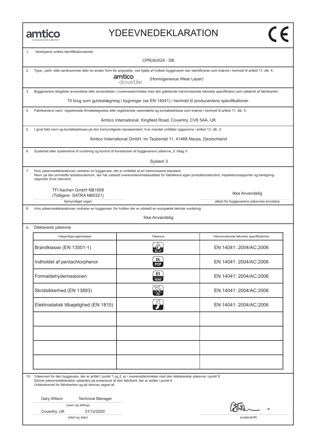#### YDEEVNEDEKLARATION

| 1. | Varetypens unikke identifikationskode:<br><b>CPR/AI/024 - DK</b>                                                                                                                                                                                                                        |                                                                                                  |                                                                                                                                                          |
|----|-----------------------------------------------------------------------------------------------------------------------------------------------------------------------------------------------------------------------------------------------------------------------------------------|--------------------------------------------------------------------------------------------------|----------------------------------------------------------------------------------------------------------------------------------------------------------|
| 2. | Type-, parti- eller serienummer eller en anden form for angivelse, ved hjælp af hvilken byggevaren kan identificeres som krævet i henhold til artikel 11, stk. 4:                                                                                                                       | amtico<br>(Homogeneous Wear Layer)<br>dovetile                                                   |                                                                                                                                                          |
| 3. |                                                                                                                                                                                                                                                                                         |                                                                                                  | Byggevarens tilsigtede anvendelse eller anvendelser i overensstemmelse med den gældende harmoniserede tekniske specifikation som påtænkt af fabrikanten: |
|    |                                                                                                                                                                                                                                                                                         | Til brug som gulvbelægning i bygninger (se EN 14041) i henhold til producentens specifikationer. |                                                                                                                                                          |
| 4. | Fabrikantens navn, registrerede firmabetegnelse eller registrerede varemærke og kontaktadresse som krævet i henhold til artikel 11, stk. 5:                                                                                                                                             |                                                                                                  |                                                                                                                                                          |
|    |                                                                                                                                                                                                                                                                                         | Amtico International, Kingfield Road, Coventry, CV6 5AA, UK                                      |                                                                                                                                                          |
| 5. | I givet fald navn og kontaktadresse på den bemyndigede repræsentant, hvis mandat omfatter opgaverne i artikel 12, stk. 2:                                                                                                                                                               |                                                                                                  |                                                                                                                                                          |
|    |                                                                                                                                                                                                                                                                                         | Amtico International GmbH, Im Taubental 11, 41468 Neuss, Deutschland                             |                                                                                                                                                          |
| 6. | Systemet eller systemerne til vurdering og kontrol af konstansen af byggevarens ydeevne, jf. bilag V:                                                                                                                                                                                   |                                                                                                  |                                                                                                                                                          |
|    |                                                                                                                                                                                                                                                                                         | System 3                                                                                         |                                                                                                                                                          |
| 7. | Hvis ydeevnedeklarationen vedrører en byggevare, der er omfattet af en harmoniseret standard:<br>Navn på den anmeldte testlaboratorium, der har udstedt overensstemmelsesattest for fabrikkens egen produktionskontrol, inspektionsrapporter og beregning<br>rapporter (hvis relevant). |                                                                                                  |                                                                                                                                                          |
|    | TFI Aachen GmbH NB1658<br>(Tidligere SATRA NB0321)                                                                                                                                                                                                                                      |                                                                                                  | Ikke Anvendelig                                                                                                                                          |
|    | bemyndiget organ                                                                                                                                                                                                                                                                        |                                                                                                  | attest for byggevarens ydeevnes konstans                                                                                                                 |
| 8. | Hvis ydeevnedeklarationen vedrører en byggevare, for hvilken der er udstedt en europæisk teknisk vurdering:                                                                                                                                                                             |                                                                                                  |                                                                                                                                                          |
|    |                                                                                                                                                                                                                                                                                         | Ikke Anvendelig                                                                                  |                                                                                                                                                          |
| 9. | Deklareret ydeevne                                                                                                                                                                                                                                                                      |                                                                                                  |                                                                                                                                                          |
|    | Væsentlige egenskaber                                                                                                                                                                                                                                                                   | Ydeevne                                                                                          | Harmoniserede tekniske specifikationer                                                                                                                   |
|    | Brandklasse (EN 13501-1)                                                                                                                                                                                                                                                                | $B_{fl}$ -s1                                                                                     | EN 14041: 2004/AC:2006                                                                                                                                   |
|    | Indholdet af pentachlorphenol                                                                                                                                                                                                                                                           | DL<br><b>PCP</b>                                                                                 | EN 14041: 2004/AC:2006                                                                                                                                   |
|    | Formaldehydemissionen                                                                                                                                                                                                                                                                   | E1<br><b>НСНО</b>                                                                                | EN 14041: 2004/AC:2006                                                                                                                                   |
|    | Skridsikkerhed (EN 13893)                                                                                                                                                                                                                                                               |                                                                                                  | EN 14041: 2004/AC:2006                                                                                                                                   |
|    | Elektrostatisk tilbøjelighed (EN 1815)                                                                                                                                                                                                                                                  |                                                                                                  | EN 14041: 2004/AC:2006                                                                                                                                   |
|    |                                                                                                                                                                                                                                                                                         |                                                                                                  |                                                                                                                                                          |
|    |                                                                                                                                                                                                                                                                                         |                                                                                                  |                                                                                                                                                          |
|    |                                                                                                                                                                                                                                                                                         |                                                                                                  |                                                                                                                                                          |
|    |                                                                                                                                                                                                                                                                                         |                                                                                                  |                                                                                                                                                          |
|    |                                                                                                                                                                                                                                                                                         |                                                                                                  |                                                                                                                                                          |
|    | 10. Ydeevnen for den byggevare, der er anført i punkt 1 og 2, er i overensstemmelse med den deklarerede ydeevne i punkt 9.<br>Denne ydeevnedeklaration udstedes på eneansvar af den fabrikant, der er anført i punkt 4.<br>Underskrevet for fabrikanten og på dennes vegne af:          |                                                                                                  |                                                                                                                                                          |
|    | Gary Wilson<br><b>Technical Manager</b>                                                                                                                                                                                                                                                 |                                                                                                  |                                                                                                                                                          |
|    | (navn og stilling)<br>31/12/2020<br>Coventry, UK                                                                                                                                                                                                                                        |                                                                                                  |                                                                                                                                                          |
|    | (sted og dato)                                                                                                                                                                                                                                                                          |                                                                                                  | (underskrift)                                                                                                                                            |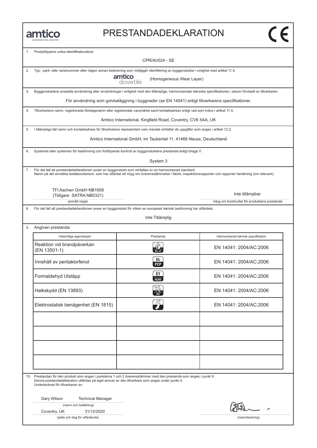#### PRESTANDADEKLARATION

| 1. | Produkttypens unika identifikationskod:                                                                                                                                                                                                                   |                                                                                                   |                                                                                                                                                               |  |
|----|-----------------------------------------------------------------------------------------------------------------------------------------------------------------------------------------------------------------------------------------------------------|---------------------------------------------------------------------------------------------------|---------------------------------------------------------------------------------------------------------------------------------------------------------------|--|
|    |                                                                                                                                                                                                                                                           | <b>CPR/AI/024 - SE</b>                                                                            |                                                                                                                                                               |  |
| 2. | Typ-, parti- eller serienummer eller någon annan beteckning som möjliggör identifiering av byggprodukter i enlighet med artikel 11.4:                                                                                                                     |                                                                                                   |                                                                                                                                                               |  |
|    |                                                                                                                                                                                                                                                           | amtico<br>(Homogeneous Wear Layer)<br>dovetile                                                    |                                                                                                                                                               |  |
| 3. |                                                                                                                                                                                                                                                           |                                                                                                   | Byggproduktens avsedda användning eller användningar i enlighet med den tillämpliga, harmoniserade tekniska specifikationen, såsom förutsett av tillverkaren: |  |
|    |                                                                                                                                                                                                                                                           | För användning som golvbeläggning i byggnader (se EN 14041) enligt tillverkarens specifikationer. |                                                                                                                                                               |  |
| 4. | Tillverkarens namn, registrerade företagsnamn eller registrerade varumärke samt kontaktadress enligt vad som krävs i artikel 11.5:                                                                                                                        |                                                                                                   |                                                                                                                                                               |  |
|    |                                                                                                                                                                                                                                                           | Amtico International, Kingfield Road, Coventry, CV6 5AA, UK                                       |                                                                                                                                                               |  |
| 5. | I tillämpliga fall namn och kontaktadress för tillverkarens representant vars mandat omfattar de uppgifter som anges i artikel 12.2:                                                                                                                      |                                                                                                   |                                                                                                                                                               |  |
|    |                                                                                                                                                                                                                                                           | Amtico International GmbH, Im Taubental 11, 41468 Neuss, Deutschland                              |                                                                                                                                                               |  |
| 6. | Systemet eller systemen för bedömning och fortlöpande kontroll av byggproduktens prestanda enligt bilaga V:                                                                                                                                               |                                                                                                   |                                                                                                                                                               |  |
|    |                                                                                                                                                                                                                                                           | System 3                                                                                          |                                                                                                                                                               |  |
| 7. | För det fall att prestandadeklarationen avser en byggprodukt som omfattas av en harmoniserad standard:                                                                                                                                                    |                                                                                                   | Namn på det anmälda testlaboratorium, som har utfärdat ett intyg om överensstämmelse i fabrik, inspektionsrapporter och rapporter beräkning (om relevant).    |  |
|    | TFI Aachen GmbH NB1658                                                                                                                                                                                                                                    |                                                                                                   |                                                                                                                                                               |  |
|    | (Tidigare SATRA NB0321)                                                                                                                                                                                                                                   |                                                                                                   | Inte tillämpbar                                                                                                                                               |  |
| 8. | anmält organ<br>För det fall att prestandadeklarationen avser en byggprodukt för vilken en europeisk teknisk bedömning har utfärdats:                                                                                                                     |                                                                                                   | intyg om kontinuitet för produktens prestanda                                                                                                                 |  |
|    |                                                                                                                                                                                                                                                           |                                                                                                   |                                                                                                                                                               |  |
|    |                                                                                                                                                                                                                                                           | Inte Tillämplig                                                                                   |                                                                                                                                                               |  |
| 9. | Angiven prestanda                                                                                                                                                                                                                                         |                                                                                                   |                                                                                                                                                               |  |
|    | Väsentliga egenskaper                                                                                                                                                                                                                                     | Prestanda                                                                                         | Harmoniserad teknisk specifikation                                                                                                                            |  |
|    | Reaktion vid brandpåverkan<br>(EN 13501-1)                                                                                                                                                                                                                |                                                                                                   | EN 14041: 2004/AC:2006                                                                                                                                        |  |
|    | Innehåll av pentaklorfenol                                                                                                                                                                                                                                | DL<br><b>PCP</b>                                                                                  | EN 14041: 2004/AC:2006                                                                                                                                        |  |
|    | Formaldehyd Utsläpp                                                                                                                                                                                                                                       | E1<br><b>HCHO</b>                                                                                 | FN 14041: 2004/AC:2006                                                                                                                                        |  |
|    | Halkskydd (EN 13893)                                                                                                                                                                                                                                      |                                                                                                   | EN 14041: 2004/AC:2006                                                                                                                                        |  |
|    | Elektrostatisk benägenhet (EN 1815)                                                                                                                                                                                                                       |                                                                                                   | EN 14041: 2004/AC:2006                                                                                                                                        |  |
|    |                                                                                                                                                                                                                                                           |                                                                                                   |                                                                                                                                                               |  |
|    |                                                                                                                                                                                                                                                           |                                                                                                   |                                                                                                                                                               |  |
|    |                                                                                                                                                                                                                                                           |                                                                                                   |                                                                                                                                                               |  |
|    |                                                                                                                                                                                                                                                           |                                                                                                   |                                                                                                                                                               |  |
|    |                                                                                                                                                                                                                                                           |                                                                                                   |                                                                                                                                                               |  |
|    |                                                                                                                                                                                                                                                           |                                                                                                   |                                                                                                                                                               |  |
|    | 10. Prestandan för den produkt som anges i punkterna 1 och 2 överensstämmer med den prestanda som anges i punkt 9.<br>Denna prestandadeklaration utfärdas på eget ansvar av den tillverkare som anges under punkt 4.<br>Undertecknat för tillverkaren av: |                                                                                                   |                                                                                                                                                               |  |
|    | Gary Wilson<br><b>Technical Manager</b>                                                                                                                                                                                                                   |                                                                                                   |                                                                                                                                                               |  |
|    | (namn och befattning)                                                                                                                                                                                                                                     |                                                                                                   |                                                                                                                                                               |  |
|    | Coventry, UK<br>31/12/2020                                                                                                                                                                                                                                |                                                                                                   |                                                                                                                                                               |  |
|    | (plats och dag för utfärdande)                                                                                                                                                                                                                            |                                                                                                   | (namnteckning)                                                                                                                                                |  |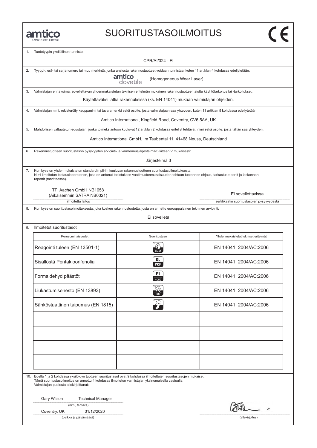#### SUORITUSTASOILMOITUS

|     | A MANNINGTON COMPANY                                                                                                                                                                                                                                                                 |                                                                                |                                            |  |
|-----|--------------------------------------------------------------------------------------------------------------------------------------------------------------------------------------------------------------------------------------------------------------------------------------|--------------------------------------------------------------------------------|--------------------------------------------|--|
| 1.  | Tuotetyypin yksilöllinen tunniste:                                                                                                                                                                                                                                                   |                                                                                |                                            |  |
|     | CPR/AI/024 - FI                                                                                                                                                                                                                                                                      |                                                                                |                                            |  |
| 2.  | Tyyppi-, erä- tai sarjanumero tai muu merkintä, jonka ansiosta rakennustuotteet voidaan tunnistaa, kuten 11 artiklan 4 kohdassa edellytetään:                                                                                                                                        |                                                                                |                                            |  |
|     | amtico<br>dovetile<br>(Homogeneous Wear Layer)                                                                                                                                                                                                                                       |                                                                                |                                            |  |
| 3.  | Valmistajan ennakoima, sovellettavan yhdenmukaistetun teknisen eritelmän mukainen rakennustuotteen aiottu käyt tötarkoitus tai -tarkoitukset:                                                                                                                                        |                                                                                |                                            |  |
|     |                                                                                                                                                                                                                                                                                      | Käytettäväksi lattia rakennuksissa (ks. EN 14041) mukaan valmistajan ohjeiden. |                                            |  |
| 4.  | Valmistajan nimi, rekisteröity kauppanimi tai tavaramerkki sekä osoite, josta valmistajaan saa yhteyden, kuten 11 artiklan 5 kohdassa edellytetään:                                                                                                                                  |                                                                                |                                            |  |
|     |                                                                                                                                                                                                                                                                                      | Amtico International, Kingfield Road, Coventry, CV6 5AA, UK                    |                                            |  |
| 5.  | Mahdollisen valtuutetun edustajan, jonka toimeksiantoon kuuluvat 12 artiklan 2 kohdassa eritellyt tehtävät, nimi sekä osoite, josta tähän saa yhteyden:                                                                                                                              |                                                                                |                                            |  |
|     |                                                                                                                                                                                                                                                                                      | Amtico International GmbH, Im Taubental 11, 41468 Neuss, Deutschland           |                                            |  |
| 6.  | Rakennustuotteen suoritustason pysyvyyden arviointi- ja varmennusjärjestelmä(t) liitteen V mukaisesti:                                                                                                                                                                               |                                                                                |                                            |  |
|     |                                                                                                                                                                                                                                                                                      | Järjestelmä 3                                                                  |                                            |  |
| 7.  | Kun kyse on yhdenmukaistetun standardin piiriin kuuluvan rakennustuotteen suoritustasoilmoituksesta:<br>Nimi ilmoitetun testauslaboratorion, joka on antanut todistuksen vaatimustenmukaisuuden tehtaan tuotannon ohjaus, tarkastusraportit ja laskennan<br>raportit (tarvittaessa). |                                                                                |                                            |  |
|     | TFI Aachen GmbH NB1658                                                                                                                                                                                                                                                               |                                                                                | Ei sovellettavissa                         |  |
|     | (Aikaisemmin SATRA NB0321)<br>ilmoitettu laitos                                                                                                                                                                                                                                      |                                                                                | sertifikaatin suoritustasojen pysyvyydestä |  |
| 8.  | Kun kyse on suoritustasoilmoituksesta, joka koskee rakennustuotetta, josta on annettu eurooppalainen tekninen arviointi:                                                                                                                                                             |                                                                                |                                            |  |
|     |                                                                                                                                                                                                                                                                                      | Ei sovelleta                                                                   |                                            |  |
|     |                                                                                                                                                                                                                                                                                      |                                                                                |                                            |  |
| 9.  | Ilmoitetut suoritustasot                                                                                                                                                                                                                                                             |                                                                                |                                            |  |
|     | Perusominaisuudet                                                                                                                                                                                                                                                                    | Suoritustaso                                                                   | Yhdenmukaistetut tekniset eritelmät        |  |
|     | Reagointi tuleen (EN 13501-1)                                                                                                                                                                                                                                                        | $B_{11}$ -s1                                                                   | EN 14041: 2004/AC:2006                     |  |
|     | Sisällöstä Pentakloorifenolia                                                                                                                                                                                                                                                        | DL<br><b>PCP</b>                                                               | EN 14041: 2004/AC:2006                     |  |
|     | Formaldehyd päästöt                                                                                                                                                                                                                                                                  | E1<br>HCHO                                                                     | EN 14041: 2004/AC:2006                     |  |
|     | Liukastumisenesto (EN 13893)                                                                                                                                                                                                                                                         |                                                                                | EN 14041: 2004/AC:2006                     |  |
|     | Sähköstaattinen taipumus (EN 1815)                                                                                                                                                                                                                                                   |                                                                                | EN 14041: 2004/AC:2006                     |  |
|     |                                                                                                                                                                                                                                                                                      |                                                                                |                                            |  |
|     |                                                                                                                                                                                                                                                                                      |                                                                                |                                            |  |
|     |                                                                                                                                                                                                                                                                                      |                                                                                |                                            |  |
|     |                                                                                                                                                                                                                                                                                      |                                                                                |                                            |  |
|     |                                                                                                                                                                                                                                                                                      |                                                                                |                                            |  |
|     |                                                                                                                                                                                                                                                                                      |                                                                                |                                            |  |
| 10. | Edellä 1 ja 2 kohdassa yksilöidyn tuotteen suoritustasot ovat 9 kohdassa ilmoitettujen suoritustasojen mukaiset.<br>Tämä suoritustasoilmoitus on annettu 4 kohdassa ilmoitetun valmistajan yksinomaisella vastuulla:<br>Valmistajan puolesta allekirjoittanut:                       |                                                                                |                                            |  |
|     | Gary Wilson<br><b>Technical Manager</b>                                                                                                                                                                                                                                              |                                                                                |                                            |  |
|     | (nimi, tehtävä)                                                                                                                                                                                                                                                                      |                                                                                |                                            |  |
|     | 31/12/2020<br>Coventry, UK                                                                                                                                                                                                                                                           |                                                                                |                                            |  |
|     | (paikka ja päivämäärä)                                                                                                                                                                                                                                                               |                                                                                | (allekirjoitus)                            |  |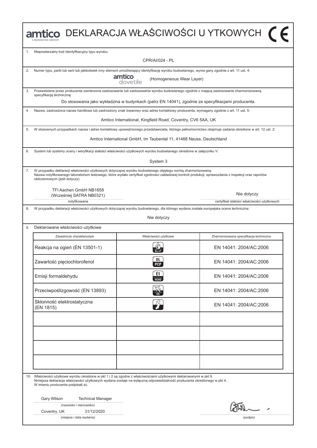| amtico DEKLARACJA WŁAŚCIWOŚCI U YTKOWYCH [ F           |                                         |                                                                                                                                                                                                                                                                                                                                                                                                                                                                                                                                                                                                                                                                                                                                                                                                                                                                                                                                                                                                                                                                                                                                                                                                                                                                                                                                                                                                                                                                                                                                                                                                                                     |  |
|--------------------------------------------------------|-----------------------------------------|-------------------------------------------------------------------------------------------------------------------------------------------------------------------------------------------------------------------------------------------------------------------------------------------------------------------------------------------------------------------------------------------------------------------------------------------------------------------------------------------------------------------------------------------------------------------------------------------------------------------------------------------------------------------------------------------------------------------------------------------------------------------------------------------------------------------------------------------------------------------------------------------------------------------------------------------------------------------------------------------------------------------------------------------------------------------------------------------------------------------------------------------------------------------------------------------------------------------------------------------------------------------------------------------------------------------------------------------------------------------------------------------------------------------------------------------------------------------------------------------------------------------------------------------------------------------------------------------------------------------------------------|--|
| Niepowtarzalny kod identyfikacyjny typu wyrobu:        |                                         |                                                                                                                                                                                                                                                                                                                                                                                                                                                                                                                                                                                                                                                                                                                                                                                                                                                                                                                                                                                                                                                                                                                                                                                                                                                                                                                                                                                                                                                                                                                                                                                                                                     |  |
|                                                        | <b>CPR/AI/024 - PL</b>                  |                                                                                                                                                                                                                                                                                                                                                                                                                                                                                                                                                                                                                                                                                                                                                                                                                                                                                                                                                                                                                                                                                                                                                                                                                                                                                                                                                                                                                                                                                                                                                                                                                                     |  |
|                                                        |                                         |                                                                                                                                                                                                                                                                                                                                                                                                                                                                                                                                                                                                                                                                                                                                                                                                                                                                                                                                                                                                                                                                                                                                                                                                                                                                                                                                                                                                                                                                                                                                                                                                                                     |  |
|                                                        | (Homogeneous Wear Layer)<br>dovetile    |                                                                                                                                                                                                                                                                                                                                                                                                                                                                                                                                                                                                                                                                                                                                                                                                                                                                                                                                                                                                                                                                                                                                                                                                                                                                                                                                                                                                                                                                                                                                                                                                                                     |  |
| specyfikacją techniczną:                               |                                         |                                                                                                                                                                                                                                                                                                                                                                                                                                                                                                                                                                                                                                                                                                                                                                                                                                                                                                                                                                                                                                                                                                                                                                                                                                                                                                                                                                                                                                                                                                                                                                                                                                     |  |
|                                                        |                                         |                                                                                                                                                                                                                                                                                                                                                                                                                                                                                                                                                                                                                                                                                                                                                                                                                                                                                                                                                                                                                                                                                                                                                                                                                                                                                                                                                                                                                                                                                                                                                                                                                                     |  |
|                                                        |                                         |                                                                                                                                                                                                                                                                                                                                                                                                                                                                                                                                                                                                                                                                                                                                                                                                                                                                                                                                                                                                                                                                                                                                                                                                                                                                                                                                                                                                                                                                                                                                                                                                                                     |  |
|                                                        |                                         |                                                                                                                                                                                                                                                                                                                                                                                                                                                                                                                                                                                                                                                                                                                                                                                                                                                                                                                                                                                                                                                                                                                                                                                                                                                                                                                                                                                                                                                                                                                                                                                                                                     |  |
|                                                        |                                         |                                                                                                                                                                                                                                                                                                                                                                                                                                                                                                                                                                                                                                                                                                                                                                                                                                                                                                                                                                                                                                                                                                                                                                                                                                                                                                                                                                                                                                                                                                                                                                                                                                     |  |
|                                                        |                                         |                                                                                                                                                                                                                                                                                                                                                                                                                                                                                                                                                                                                                                                                                                                                                                                                                                                                                                                                                                                                                                                                                                                                                                                                                                                                                                                                                                                                                                                                                                                                                                                                                                     |  |
|                                                        |                                         |                                                                                                                                                                                                                                                                                                                                                                                                                                                                                                                                                                                                                                                                                                                                                                                                                                                                                                                                                                                                                                                                                                                                                                                                                                                                                                                                                                                                                                                                                                                                                                                                                                     |  |
|                                                        | System 3                                |                                                                                                                                                                                                                                                                                                                                                                                                                                                                                                                                                                                                                                                                                                                                                                                                                                                                                                                                                                                                                                                                                                                                                                                                                                                                                                                                                                                                                                                                                                                                                                                                                                     |  |
| obliczeniowych (jeśli dotyczy).                        |                                         |                                                                                                                                                                                                                                                                                                                                                                                                                                                                                                                                                                                                                                                                                                                                                                                                                                                                                                                                                                                                                                                                                                                                                                                                                                                                                                                                                                                                                                                                                                                                                                                                                                     |  |
| TFI Aachen GmbH NB1658<br>(Wcześniej SATRA NB0321)     |                                         | Nie dotyczy                                                                                                                                                                                                                                                                                                                                                                                                                                                                                                                                                                                                                                                                                                                                                                                                                                                                                                                                                                                                                                                                                                                                                                                                                                                                                                                                                                                                                                                                                                                                                                                                                         |  |
| notyfikowana                                           |                                         | certyfikat stałości właściwości użytkowych                                                                                                                                                                                                                                                                                                                                                                                                                                                                                                                                                                                                                                                                                                                                                                                                                                                                                                                                                                                                                                                                                                                                                                                                                                                                                                                                                                                                                                                                                                                                                                                          |  |
|                                                        | Nie dotyczy                             |                                                                                                                                                                                                                                                                                                                                                                                                                                                                                                                                                                                                                                                                                                                                                                                                                                                                                                                                                                                                                                                                                                                                                                                                                                                                                                                                                                                                                                                                                                                                                                                                                                     |  |
| Deklarowane właściwości użytkowe                       |                                         |                                                                                                                                                                                                                                                                                                                                                                                                                                                                                                                                                                                                                                                                                                                                                                                                                                                                                                                                                                                                                                                                                                                                                                                                                                                                                                                                                                                                                                                                                                                                                                                                                                     |  |
| Zasadnicze charakterystyki                             | Właściwości użytkowe                    | Zharmonizowana specyfikacja techniczna                                                                                                                                                                                                                                                                                                                                                                                                                                                                                                                                                                                                                                                                                                                                                                                                                                                                                                                                                                                                                                                                                                                                                                                                                                                                                                                                                                                                                                                                                                                                                                                              |  |
| Reakcja na ogień (EN 13501-1)                          |                                         | FN 14041: 2004/AC:2006                                                                                                                                                                                                                                                                                                                                                                                                                                                                                                                                                                                                                                                                                                                                                                                                                                                                                                                                                                                                                                                                                                                                                                                                                                                                                                                                                                                                                                                                                                                                                                                                              |  |
| Zawartość pięciochlorofenol                            | <b>DL</b><br><b>PCP</b>                 | EN 14041: 2004/AC:2006                                                                                                                                                                                                                                                                                                                                                                                                                                                                                                                                                                                                                                                                                                                                                                                                                                                                                                                                                                                                                                                                                                                                                                                                                                                                                                                                                                                                                                                                                                                                                                                                              |  |
| Emisji formaldehydu                                    | E1<br>нсно                              | EN 14041: 2004/AC:2006                                                                                                                                                                                                                                                                                                                                                                                                                                                                                                                                                                                                                                                                                                                                                                                                                                                                                                                                                                                                                                                                                                                                                                                                                                                                                                                                                                                                                                                                                                                                                                                                              |  |
| Przeciwpoślizgowość (EN 13893)                         |                                         | EN 14041: 2004/AC:2006                                                                                                                                                                                                                                                                                                                                                                                                                                                                                                                                                                                                                                                                                                                                                                                                                                                                                                                                                                                                                                                                                                                                                                                                                                                                                                                                                                                                                                                                                                                                                                                                              |  |
| Skłonność elektrostatyczna<br>(EN 1815)                | $\widehat{Z}$                           | EN 14041: 2004/AC:2006                                                                                                                                                                                                                                                                                                                                                                                                                                                                                                                                                                                                                                                                                                                                                                                                                                                                                                                                                                                                                                                                                                                                                                                                                                                                                                                                                                                                                                                                                                                                                                                                              |  |
|                                                        |                                         |                                                                                                                                                                                                                                                                                                                                                                                                                                                                                                                                                                                                                                                                                                                                                                                                                                                                                                                                                                                                                                                                                                                                                                                                                                                                                                                                                                                                                                                                                                                                                                                                                                     |  |
|                                                        |                                         |                                                                                                                                                                                                                                                                                                                                                                                                                                                                                                                                                                                                                                                                                                                                                                                                                                                                                                                                                                                                                                                                                                                                                                                                                                                                                                                                                                                                                                                                                                                                                                                                                                     |  |
|                                                        |                                         |                                                                                                                                                                                                                                                                                                                                                                                                                                                                                                                                                                                                                                                                                                                                                                                                                                                                                                                                                                                                                                                                                                                                                                                                                                                                                                                                                                                                                                                                                                                                                                                                                                     |  |
|                                                        |                                         |                                                                                                                                                                                                                                                                                                                                                                                                                                                                                                                                                                                                                                                                                                                                                                                                                                                                                                                                                                                                                                                                                                                                                                                                                                                                                                                                                                                                                                                                                                                                                                                                                                     |  |
|                                                        |                                         |                                                                                                                                                                                                                                                                                                                                                                                                                                                                                                                                                                                                                                                                                                                                                                                                                                                                                                                                                                                                                                                                                                                                                                                                                                                                                                                                                                                                                                                                                                                                                                                                                                     |  |
| W imieniu producenta podpisał(-a):                     |                                         |                                                                                                                                                                                                                                                                                                                                                                                                                                                                                                                                                                                                                                                                                                                                                                                                                                                                                                                                                                                                                                                                                                                                                                                                                                                                                                                                                                                                                                                                                                                                                                                                                                     |  |
|                                                        |                                         |                                                                                                                                                                                                                                                                                                                                                                                                                                                                                                                                                                                                                                                                                                                                                                                                                                                                                                                                                                                                                                                                                                                                                                                                                                                                                                                                                                                                                                                                                                                                                                                                                                     |  |
| (nazwisko i stanowisko)                                |                                         |                                                                                                                                                                                                                                                                                                                                                                                                                                                                                                                                                                                                                                                                                                                                                                                                                                                                                                                                                                                                                                                                                                                                                                                                                                                                                                                                                                                                                                                                                                                                                                                                                                     |  |
| Coventry, UK<br>31/12/2020<br>(miejsce i data wydania) |                                         | (podpis)                                                                                                                                                                                                                                                                                                                                                                                                                                                                                                                                                                                                                                                                                                                                                                                                                                                                                                                                                                                                                                                                                                                                                                                                                                                                                                                                                                                                                                                                                                                                                                                                                            |  |
|                                                        | Gary Wilson<br><b>Technical Manager</b> | Numer typu, partii lub serii lub jakikolwiek inny element umożliwiający identyfikację wyrobu budowlanego, wyma gany zgodnie z art. 11 ust. 4:<br>amtico<br>Przewidziane przez producenta zamierzone zastosowanie lub zastosowania wyrobu budowlanego zgodnie z mającą zastosowanie zharmonizowaną<br>Do stosowania jako wykładzina w budynkach (patrz EN 14041), zgodnie ze specyfikacjami producenta.<br>Nazwa, zastrzeżona nazwa handlowa lub zastrzeżony znak towarowy oraz adres kontaktowy producenta, wymagany zgodnie z art. 11 ust. 5:<br>Amtico International, Kingfield Road, Coventry, CV6 5AA, UK<br>W stosownych przypadkach nazwa i adres kontaktowy upoważnionego przedstawiciela, którego pełnomocnictwo obejmuje zadania określone w art. 12 ust. 2:<br>Amtico International GmbH, Im Taubental 11, 41468 Neuss, Deutschland<br>System lub systemy oceny i weryfikacji stałości właściwości użytkowych wyrobu budowlanego określone w załączniku V:<br>W przypadku deklaracji właściwości użytkowych dotyczącej wyrobu budowlanego objętego normą zharmonizowaną:<br>Nazwa notyfikowanego laboratorium testowego, które wydało certyfikat zgodności zakładowej kontroli produkcji, sprawozdania z inspekcji oraz raportów<br>W przypadku deklaracji właściwości użytkowych dotyczącej wyrobu budowlanego, dla którego wydana została europejska ocena techniczna:<br>10. Właściwości użytkowe wyrobu określone w pkt 1 i 2 są zgodne z właściwościami użytkowymi deklarowanymi w pkt 9.<br>Niniejsza deklaracja właściwości użytkowych wydana zostaje na wyłączną odpowiedzialność producenta określonego w pkt 4. |  |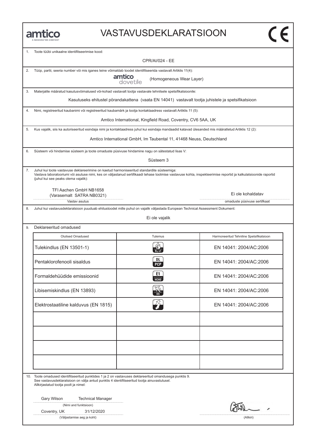#### VASTAVUSDEKLARATSIOON

| 1. | Toote tüübi unikaalne identifitseerimise kood:                                                                                                                                                                                                  |                                                                                                                                                                 |                                          |  |
|----|-------------------------------------------------------------------------------------------------------------------------------------------------------------------------------------------------------------------------------------------------|-----------------------------------------------------------------------------------------------------------------------------------------------------------------|------------------------------------------|--|
|    | <b>CPR/AI/024 - EE</b>                                                                                                                                                                                                                          |                                                                                                                                                                 |                                          |  |
| 2. | Tüüp, partii, seeria number või mis iganes teine võimaldab toodet identifitseerida vastavalt Artiklis 11(4):                                                                                                                                    | amtico                                                                                                                                                          |                                          |  |
|    |                                                                                                                                                                                                                                                 | (Homogeneous Wear Layer)<br>dovetile                                                                                                                            |                                          |  |
| 3. | Materjalile määratud kasutusvöimalused vöi-kohad vastavalt tootja vastavale tehnilsele spetsifikatsioonile:                                                                                                                                     |                                                                                                                                                                 |                                          |  |
|    |                                                                                                                                                                                                                                                 | Kasutuseks ehitustel pörandakattena (vaata EN 14041) vastavalt tootja juhistele ja spetsifikatsioon                                                             |                                          |  |
| 4. |                                                                                                                                                                                                                                                 | Nimi, registreeritud kaubanimi või registreeritud kaubamärk ja tootja kontaktaadress vastavalt Artiklis 11 (5):                                                 |                                          |  |
|    |                                                                                                                                                                                                                                                 | Amtico International, Kingfield Road, Coventry, CV6 5AA, UK                                                                                                     |                                          |  |
| 5. |                                                                                                                                                                                                                                                 | Kus vajalik, siis ka autoriseeritud esindaja nimi ja kontaktaadress juhul kui esindaja mandaadid katavad ülesanded mis määratletud Artiklis 12 (2):             |                                          |  |
|    |                                                                                                                                                                                                                                                 | Amtico International GmbH, Im Taubental 11, 41468 Neuss, Deutschland                                                                                            |                                          |  |
| 6. | Süsteem vöi hindamise süsteem ja toote omaduste püsivuse hindamine nagu on sätestatud lisas V:                                                                                                                                                  |                                                                                                                                                                 |                                          |  |
|    |                                                                                                                                                                                                                                                 | Süsteem 3                                                                                                                                                       |                                          |  |
| 7. | Juhul kui toote vastavuse deklareerimine on kaetud harmoniseeritud standardite süsteemiga:<br>(juhul kui see peaks olema vajalik):                                                                                                              | Vastava laboratooriumi või asutuse nimi, kes on väljastanud sertifikaadi tehase tootmise vastavuse kohta, inspekteerimise reportid ja kalkulatsioonide raportid |                                          |  |
|    | TFI Aachen GmbH NB1658                                                                                                                                                                                                                          |                                                                                                                                                                 | Ei ole kohaldatav                        |  |
|    | (Varasemalt SATRA NB0321)<br>Vastav asutus                                                                                                                                                                                                      |                                                                                                                                                                 | omaduste püsivuse sertifkaat             |  |
| 8. |                                                                                                                                                                                                                                                 | Juhul kui vastavusdeklaratsioon puuduab ehitustoodet mille puhul on vajalik väljastada European Technical Assessment Dokument:                                  |                                          |  |
|    |                                                                                                                                                                                                                                                 | Ei ole vajalik                                                                                                                                                  |                                          |  |
| 9. | Deklareeritud omadused                                                                                                                                                                                                                          |                                                                                                                                                                 |                                          |  |
|    | Olulised Omadused                                                                                                                                                                                                                               | Tulemus                                                                                                                                                         | Harmoneeritud Tehniline Spetsifikatsioon |  |
|    | Tulekindlus (EN 13501-1)                                                                                                                                                                                                                        |                                                                                                                                                                 | EN 14041: 2004/AC:2006                   |  |
|    | Pentaklorofenooli sisaldus                                                                                                                                                                                                                      | DL<br><b>PCP</b>                                                                                                                                                | EN 14041: 2004/AC:2006                   |  |
|    | Formaldehüüdide emissioonid                                                                                                                                                                                                                     | E1<br><b>HCHO</b>                                                                                                                                               | EN 14041: 2004/AC:2006                   |  |
|    | Libisemiskindlus (EN 13893)                                                                                                                                                                                                                     |                                                                                                                                                                 | EN 14041: 2004/AC:2006                   |  |
|    | Elektrostaatiline kalduvus (EN 1815)                                                                                                                                                                                                            |                                                                                                                                                                 | EN 14041: 2004/AC:2006                   |  |
|    |                                                                                                                                                                                                                                                 |                                                                                                                                                                 |                                          |  |
|    |                                                                                                                                                                                                                                                 |                                                                                                                                                                 |                                          |  |
|    |                                                                                                                                                                                                                                                 |                                                                                                                                                                 |                                          |  |
|    |                                                                                                                                                                                                                                                 |                                                                                                                                                                 |                                          |  |
|    |                                                                                                                                                                                                                                                 |                                                                                                                                                                 |                                          |  |
|    |                                                                                                                                                                                                                                                 |                                                                                                                                                                 |                                          |  |
|    | 10. Toote omadused identifitseeritud punktides 1 ja 2 on vastavuses deklareeritud omandusega punktis 9.<br>See vastavusdeklaratsioon on välja antud punktis 4 identifitseeritud tootja ainuvastutusel.<br>Allkirjastatud tootja poolt ja nimel: |                                                                                                                                                                 |                                          |  |
|    | Gary Wilson<br><b>Technical Manager</b>                                                                                                                                                                                                         |                                                                                                                                                                 |                                          |  |
|    | (Nimi and funktsioon)                                                                                                                                                                                                                           |                                                                                                                                                                 |                                          |  |
|    | Coventry, UK<br>31/12/2020<br>(Väljastamise aeg ja koht)                                                                                                                                                                                        |                                                                                                                                                                 | (Allkiri)                                |  |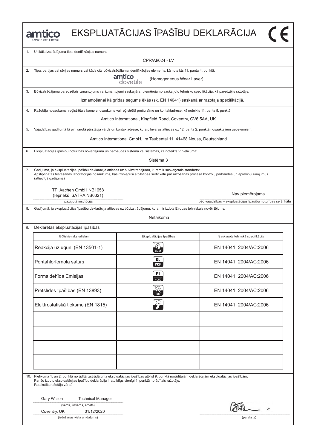|    | amtico                                                                                                                                                                                                                                                                                           |                                                                                      | EKSPLUATĀCIJAS ĪPAŠĪBU DEKLARĀCIJA (F                                            |
|----|--------------------------------------------------------------------------------------------------------------------------------------------------------------------------------------------------------------------------------------------------------------------------------------------------|--------------------------------------------------------------------------------------|----------------------------------------------------------------------------------|
| 1. | Unikāls izstrādājuma tipa identifikācijas numurs:                                                                                                                                                                                                                                                |                                                                                      |                                                                                  |
|    |                                                                                                                                                                                                                                                                                                  | CPR/AI/024 - LV                                                                      |                                                                                  |
| 2. | Tipa, partijas vai sērijas numurs vai kāds cits būvizstrādājuma identifikācijas elements, kā noteikts 11. panta 4. punktā:                                                                                                                                                                       |                                                                                      |                                                                                  |
|    |                                                                                                                                                                                                                                                                                                  | amtico<br>(Homogeneous Wear Layer)<br>dovetile                                       |                                                                                  |
| 3. | Būvizstrādājuma paredzētais izmantojums vai izmantojumi saskaņā ar piemērojamo saskaņoto tehnisko specifikāciju, kā paredzējis ražotājs:                                                                                                                                                         |                                                                                      |                                                                                  |
|    |                                                                                                                                                                                                                                                                                                  | Izmantošanai kā grīdas segums ēkās (sk. EN 14041) saskanā ar razotaja specifikācijā. |                                                                                  |
| 4. | Ražotāja nosaukums, reģistrētais komercnosaukums vai reģistrētā preču zīme un kontaktadrese, kā noteikts 11. panta 5. punktā:                                                                                                                                                                    |                                                                                      |                                                                                  |
|    |                                                                                                                                                                                                                                                                                                  | Amtico International, Kingfield Road, Coventry, CV6 5AA, UK                          |                                                                                  |
| 5. | Vajadzības gadījumā tā pilnvarotā pārstāvja vārds un kontaktadrese, kura pilnvaras attiecas uz 12. panta 2. punktā nosauktajiem uzdevumiem:                                                                                                                                                      |                                                                                      |                                                                                  |
|    |                                                                                                                                                                                                                                                                                                  | Amtico International GmbH, Im Taubental 11, 41468 Neuss, Deutschland                 |                                                                                  |
| 6. | Ekspluatācijas īpašību noturības novērtējuma un pārbaudes sistēma vai sistēmas, kā noteikts V pielikumā:                                                                                                                                                                                         |                                                                                      |                                                                                  |
|    |                                                                                                                                                                                                                                                                                                  | Sistēma 3                                                                            |                                                                                  |
| 7. | Gadījumā, ja ekspluatācijas īpašību deklarācija attiecas uz būvizstrādājumu, kuram ir saskaņotais standarts:<br>Apstiprinātās testēšanas laboratorijas nosaukums, kas izsniegusi atbilstības sertifikātu par razošanas procesa kontroli, pārbaudes un aprēkinu zinojumus<br>(attiecīgā gadījuma) |                                                                                      |                                                                                  |
|    | TFI Aachen GmbH NB1658<br>(lepriekš SATRA NB0321)<br>paziņotā institūcija                                                                                                                                                                                                                        |                                                                                      | Nav piemērojams<br>pēc vajadzības - ekspluatācijas īpašību noturības sertifikātu |
| 8. | Gadījumā, ja ekspluatācijas īpašību deklarācija attiecas uz būvizstrādājumu, kuram ir izdots Eiropas tehniskais novēr tējums:                                                                                                                                                                    |                                                                                      |                                                                                  |
|    |                                                                                                                                                                                                                                                                                                  | Netaikoma                                                                            |                                                                                  |
| 9. | Deklarētās ekspluatācijas īpašības                                                                                                                                                                                                                                                               |                                                                                      |                                                                                  |
|    | Būtiskie raksturlielumi                                                                                                                                                                                                                                                                          | Ekspluatācijas īpašības                                                              | Saskaņota tehniskā specifikācija                                                 |
|    | Reakcija uz uguni (EN 13501-1)                                                                                                                                                                                                                                                                   |                                                                                      | EN 14041: 2004/AC:2006                                                           |
|    | Pentahlorfernola saturs                                                                                                                                                                                                                                                                          | DL<br><b>PCP</b>                                                                     | EN 14041: 2004/AC:2006                                                           |
|    | Formaldehīda Emisijas                                                                                                                                                                                                                                                                            | E1<br>НСНО                                                                           | EN 14041: 2004/AC:2006                                                           |
|    | Pretslīdes īpašības (EN 13893)                                                                                                                                                                                                                                                                   |                                                                                      | EN 14041: 2004/AC:2006                                                           |
|    | Elektrostatiskā tieksme (EN 1815)                                                                                                                                                                                                                                                                |                                                                                      | EN 14041: 2004/AC:2006                                                           |
|    |                                                                                                                                                                                                                                                                                                  |                                                                                      |                                                                                  |
|    |                                                                                                                                                                                                                                                                                                  |                                                                                      |                                                                                  |
|    |                                                                                                                                                                                                                                                                                                  |                                                                                      |                                                                                  |
|    |                                                                                                                                                                                                                                                                                                  |                                                                                      |                                                                                  |
|    |                                                                                                                                                                                                                                                                                                  |                                                                                      |                                                                                  |
|    | 10. Pielikuma 1. un 2. punktā norādītā izstrādājuma ekspluatācijas īpašības atbilst 9. punktā norādītajām deklarētajām ekspluatācijas īpašībām.<br>Par šo izdoto ekspluatācijas īpašību deklarāciju ir atbildīgs vienīgi 4. punktā norādītais ražotājs.<br>Parakstīts ražotāja vārdā:            |                                                                                      |                                                                                  |
|    |                                                                                                                                                                                                                                                                                                  |                                                                                      |                                                                                  |
|    | Gary Wilson<br><b>Technical Manager</b><br>(vārds, uzvārds, amats)                                                                                                                                                                                                                               |                                                                                      |                                                                                  |
|    | Coventry, UK<br>31/12/2020<br>(izdošanas vieta un datums)                                                                                                                                                                                                                                        |                                                                                      | (paraksts)                                                                       |
|    |                                                                                                                                                                                                                                                                                                  |                                                                                      |                                                                                  |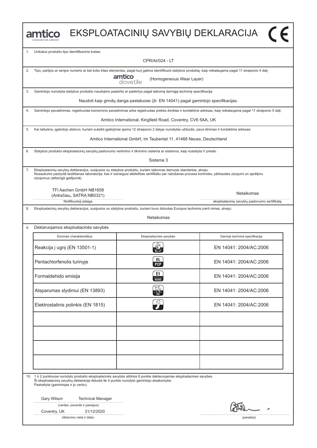|    | mtico                                                                                                                                                                                                                                                                                                          |                                                                      | EKSPLOATACINIŲ SAVYBIŲ DEKLARACIJA (         |
|----|----------------------------------------------------------------------------------------------------------------------------------------------------------------------------------------------------------------------------------------------------------------------------------------------------------------|----------------------------------------------------------------------|----------------------------------------------|
| 1. | Unikalus produkto tipo identifikacinis kodas:                                                                                                                                                                                                                                                                  |                                                                      |                                              |
|    |                                                                                                                                                                                                                                                                                                                | <b>CPR/AI/024 - LT</b>                                               |                                              |
| 2. | Tipo, partijos ar serijos numeris ar bet koks kitas elementas, pagal kurį galima identifikuoti statybos produktą, kaip reikalaujama pagal 11 straipsnio 4 dalį:                                                                                                                                                |                                                                      |                                              |
|    |                                                                                                                                                                                                                                                                                                                | amtico<br>(Homogeneous Wear Layer)<br>dovetile                       |                                              |
| 3. | Gamintojo numatyta statybos produkto naudojimo paskirtis ar paskirtys pagal taikomą darniąją techninę specifikaciją:                                                                                                                                                                                           |                                                                      |                                              |
|    | Naudoti kaip grindų danga pastatuose (žr. EN 14041) pagal gamintojo specifikacijas.                                                                                                                                                                                                                            |                                                                      |                                              |
| 4. | Gamintojo pavadinimas, registruotas komercinis pavadinimas arba registruotas prekės ženklas ir kontaktinis adresas, kaip reikalaujama pagal 11 straipsnio 5 dalį:                                                                                                                                              |                                                                      |                                              |
|    |                                                                                                                                                                                                                                                                                                                | Amtico International, Kingfield Road, Coventry, CV6 5AA, UK          |                                              |
| 5. | Kai taikytina, įgaliotojo atstovo, kuriam suteikti įgaliojimai apima 12 straipsnio 2 dalyje nurodytas užduotis, pava dinimas ir kontaktinis adresas:                                                                                                                                                           |                                                                      |                                              |
|    |                                                                                                                                                                                                                                                                                                                | Amtico International GmbH, Im Taubental 11, 41468 Neuss, Deutschland |                                              |
| 6. | Statybos produkto eksploatacinių savybių pastovumo vertinimo ir tikrinimo sistema ar sistemos, kaip nustatyta V priede:                                                                                                                                                                                        |                                                                      |                                              |
|    |                                                                                                                                                                                                                                                                                                                | Sistema 3                                                            |                                              |
| 7. | Eksploatacinių savybių deklaracijos, susijusios su statybos produktu, kuriam taikomas darnusis standartas, atveju:<br>Nosaukums paziņotā testēšanas laboratorija, kas ir izsniegusi atbilstības sertifikātu par ražošanas procesa kontroles, pārbaudes ziņojumi un aprēķinu<br>ziņojumus (attiecīgā gadījumā). |                                                                      |                                              |
|    | TFI Aachen GmbH NB1658<br>(Anksčiau, SATRA NB0321)                                                                                                                                                                                                                                                             |                                                                      | Netaikomas                                   |
| 8. | Notifikuotoji įstaiga<br>Eksploatacinių savybių deklaracijos, susijusios su statybos produktu, kuriam buvo išduotas Europos techninis įverti nimas, atveju:                                                                                                                                                    |                                                                      | eksploatacinių savybių pastovumo sertifikatą |
|    |                                                                                                                                                                                                                                                                                                                | <b>Netaikomas</b>                                                    |                                              |
| 9. | Deklaruojamos eksploatacinės savybės                                                                                                                                                                                                                                                                           |                                                                      |                                              |
|    | Esminės charakteristikos                                                                                                                                                                                                                                                                                       | Eksploatacinės savybės                                               | Darnioji techninė specifikacija              |
|    | Reakcija į ugnį (EN 13501-1)                                                                                                                                                                                                                                                                                   |                                                                      | FN 14041: 2004/AC:2006                       |
|    | Pentachlorfenolis turinyje                                                                                                                                                                                                                                                                                     | <b>DL</b><br><b>PCP</b>                                              | EN 14041: 2004/AC:2006                       |
|    | Formaldehido emisija                                                                                                                                                                                                                                                                                           | E1<br>НСНО                                                           | EN 14041: 2004/AC:2006                       |
|    | Atsparumas slydimui (EN 13893)                                                                                                                                                                                                                                                                                 |                                                                      | EN 14041: 2004/AC:2006                       |
|    | Elektrostatinis polinkis (EN 1815)                                                                                                                                                                                                                                                                             |                                                                      | EN 14041: 2004/AC:2006                       |
|    |                                                                                                                                                                                                                                                                                                                |                                                                      |                                              |
|    |                                                                                                                                                                                                                                                                                                                |                                                                      |                                              |
|    |                                                                                                                                                                                                                                                                                                                |                                                                      |                                              |
|    |                                                                                                                                                                                                                                                                                                                |                                                                      |                                              |
|    | 10. 1 ir 2 punktuose nurodyto produkto eksploatacinės savybės atitinka 9 punkte deklaruojamas eksploatacines savybes.<br>Ši eksploatacinių savybių deklaracija išduota tik 4 punkte nurodyto gamintojo atsakomybe.<br>Pasirašyta (gamintojas ir jo vardu):                                                     |                                                                      |                                              |
|    | Gary Wilson<br><b>Technical Manager</b>                                                                                                                                                                                                                                                                        |                                                                      |                                              |
|    | (vardas, pavardė ir pareigos)                                                                                                                                                                                                                                                                                  |                                                                      |                                              |
|    | Coventry, UK<br>31/12/2020<br>(išdavimo vieta ir data)                                                                                                                                                                                                                                                         |                                                                      | (parašas)                                    |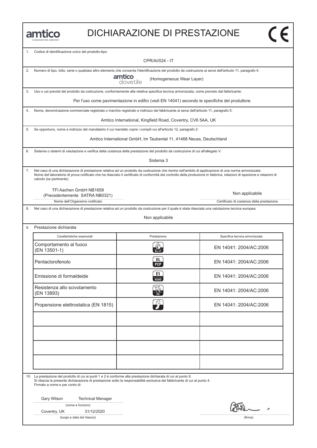

#### DICHIARAZIONE DI PRESTAZIONE

| 1. | Codice di identificazione unico del prodotto-tipo:                                                                                                                                                                                                                                                                                                             |                                                                                                |                                           |
|----|----------------------------------------------------------------------------------------------------------------------------------------------------------------------------------------------------------------------------------------------------------------------------------------------------------------------------------------------------------------|------------------------------------------------------------------------------------------------|-------------------------------------------|
|    |                                                                                                                                                                                                                                                                                                                                                                | CPR/AI/024 - IT                                                                                |                                           |
| 2. | Numero di tipo, lotto, serie o qualsiasi altro elemento che consenta l'identificazione del prodotto da costruzione ai sensi dell'articolo 11, paragrafo 4:                                                                                                                                                                                                     |                                                                                                |                                           |
|    |                                                                                                                                                                                                                                                                                                                                                                | amtico<br>dovetile<br>(Homogeneous Wear Layer)                                                 |                                           |
| 3. | Uso o usi previsti del prodotto da costruzione, conformemente alla relativa specifica tecnica armonizzata, come previsto dal fabbricante:                                                                                                                                                                                                                      |                                                                                                |                                           |
|    |                                                                                                                                                                                                                                                                                                                                                                | Per l'uso come pavimentazione in edifici (vedi EN 14041) secondo le specifiche del produttore. |                                           |
| 4. | Nome, denominazione commerciale registrata o marchio registrato e indirizzo del fabbricante ai sensi dell'articolo 11, paragrafo 5:                                                                                                                                                                                                                            |                                                                                                |                                           |
|    |                                                                                                                                                                                                                                                                                                                                                                | Amtico International, Kingfield Road, Coventry, CV6 5AA, UK                                    |                                           |
| 5. | Se opportuno, nome e indirizzo del mandatario il cui mandato copre i compiti cui all'articolo 12, paragrafo 2:                                                                                                                                                                                                                                                 |                                                                                                |                                           |
|    |                                                                                                                                                                                                                                                                                                                                                                | Amtico International GmbH, Im Taubental 11, 41468 Neuss, Deutschland                           |                                           |
| 6. | Sistema o sistemi di valutazione e verifica della costanza della prestazione del prodotto da costruzione di cui all'allegato V:                                                                                                                                                                                                                                |                                                                                                |                                           |
|    |                                                                                                                                                                                                                                                                                                                                                                | Sistema 3                                                                                      |                                           |
| 7. | Nel caso di una dichiarazione di prestazione relativa ad un prodotto da costruzione che rientra nell'ambito di applicazione di una norma armonizzata:<br>Nome del laboratorio di prova notificato che ha rilasciato il certificato di conformità del controllo della produzione in fabbrica, relazioni di ispezione e relazioni di<br>calcolo (se pertinente). |                                                                                                |                                           |
|    | TFI Aachen GmbH NB1658                                                                                                                                                                                                                                                                                                                                         |                                                                                                | Non applicabile                           |
|    | (Precedentemente SATRA NB0321)<br>Nome dell'Organismo notificato                                                                                                                                                                                                                                                                                               |                                                                                                | Certificato di costanza della prestazione |
| 8. | Nel caso di una dichiarazione di prestazione relativa ad un prodotto da costruzione per il quale è stata rilasciata una valutazione tecnica europea:                                                                                                                                                                                                           |                                                                                                |                                           |
|    |                                                                                                                                                                                                                                                                                                                                                                | Non applicabile                                                                                |                                           |
| 9. | Prestazione dichiarata                                                                                                                                                                                                                                                                                                                                         |                                                                                                |                                           |
|    | Caratteristiche essenziali                                                                                                                                                                                                                                                                                                                                     | Prestazione                                                                                    | Specifica tecnica armonizzata             |
|    | Comportamento al fuoco<br>(EN 13501-1)                                                                                                                                                                                                                                                                                                                         | $B_{fl}$ -s1                                                                                   | EN 14041: 2004/AC:2006                    |
|    | Pentaclorofenolo                                                                                                                                                                                                                                                                                                                                               | DL<br><b>PCP</b>                                                                               | EN 14041: 2004/AC:2006                    |
|    | Emissione di formaldeide                                                                                                                                                                                                                                                                                                                                       | E1<br>HT                                                                                       | EN 14041: 2004/AC:2006                    |
|    | Resistenza allo scivolamento<br>(EN 13893)                                                                                                                                                                                                                                                                                                                     |                                                                                                | EN 14041: 2004/AC:2006                    |
|    | Propensione elettrostatica (EN 1815)                                                                                                                                                                                                                                                                                                                           | 74                                                                                             | EN 14041: 2004/AC:2006                    |
|    |                                                                                                                                                                                                                                                                                                                                                                |                                                                                                |                                           |
|    |                                                                                                                                                                                                                                                                                                                                                                |                                                                                                |                                           |
|    |                                                                                                                                                                                                                                                                                                                                                                |                                                                                                |                                           |
|    | 10. La prestazione del prodotto di cui ai punti 1 e 2 è conforme alla prestazione dichiarata di cui al punto 9.<br>Si rilascia la presente dichiarazione di prestazione sotto la responsabilità esclusiva del fabbricante di cui al punto 4.<br>Firmato a nome e per conto di:                                                                                 |                                                                                                |                                           |
|    | Gary Wilson<br><b>Technical Manager</b>                                                                                                                                                                                                                                                                                                                        |                                                                                                |                                           |
|    | (nome e funzioni)                                                                                                                                                                                                                                                                                                                                              |                                                                                                |                                           |
|    | 31/12/2020<br>Coventry, UK                                                                                                                                                                                                                                                                                                                                     |                                                                                                |                                           |
|    | (luogo e data del rilascio)                                                                                                                                                                                                                                                                                                                                    |                                                                                                | (firma)                                   |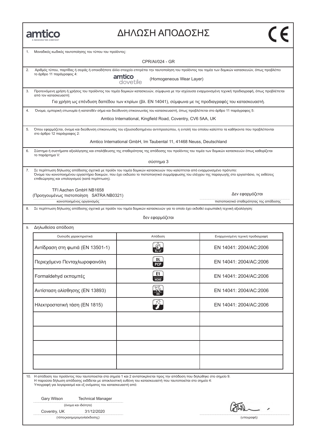

#### ΔΗΛΩΣΗ ΑΠΟΔΟΣΗΣ

|     | Μοναδικός κωδικός ταυτοποίησης του τύπου του προϊόντος:                                                                                                                                                                                                                                                                      |                                                                                                         |                                                                                                                                                       |
|-----|------------------------------------------------------------------------------------------------------------------------------------------------------------------------------------------------------------------------------------------------------------------------------------------------------------------------------|---------------------------------------------------------------------------------------------------------|-------------------------------------------------------------------------------------------------------------------------------------------------------|
|     |                                                                                                                                                                                                                                                                                                                              | <b>CPR/AI/024 - GR</b>                                                                                  |                                                                                                                                                       |
| 2.  |                                                                                                                                                                                                                                                                                                                              |                                                                                                         | Αριθμός τύπου, παρτίδας ή σειράς ή οποιοδήποτε άλλο στοιχείο επιτρέπει την ταυτοποίηση του προϊόντος του τομέα των δομικών κατασκευών, όπως προβλέπει |
|     | το άρθρο 11 παράγραφος 4:                                                                                                                                                                                                                                                                                                    | amtico<br>(Homogeneous Wear Layer)<br>dovetile                                                          |                                                                                                                                                       |
| 3.  | από τον κατασκευαστή:                                                                                                                                                                                                                                                                                                        |                                                                                                         | Προτεινόμενη χρήση ή χρήσεις του προϊόντος του τομέα δομικών κατασκευών, σύμφωνα με την ισχύουσα εναρμονισμένη τεχνική προδιαγραφή, όπως προβλέπεται  |
|     |                                                                                                                                                                                                                                                                                                                              | Για χρήση ως επένδυση δαπέδου των κτιρίων (βλ. EN 14041), σύμφωνα με τις προδιαγραφές του κατασκευαστή. |                                                                                                                                                       |
| 4.  | Όνομα, εμπορική επωνυμία ή κατατεθέν σήμα και διεύθυνση επικοινωνίας του κατασκευαστή, όπως προβλέπεται στο άρθρο 11 παράγραφος 5:                                                                                                                                                                                           |                                                                                                         |                                                                                                                                                       |
|     | Amtico International, Kingfield Road, Coventry, CV6 5AA, UK                                                                                                                                                                                                                                                                  |                                                                                                         |                                                                                                                                                       |
| 5.  | Όπου εφαρμόζεται, όνομα και διεύθυνση επικοινωνίας του εξουσιοδοτημένου αντιπροσώπου, η εντολή του οποίου καλύπτει τα καθήκοντα που προβλέπονται<br>στο άρθρο 12 παράγραφος 2:                                                                                                                                               |                                                                                                         |                                                                                                                                                       |
|     |                                                                                                                                                                                                                                                                                                                              | Amtico International GmbH, Im Taubental 11, 41468 Neuss, Deutschland                                    |                                                                                                                                                       |
| 6.  | Σύστημα ή συστήματα αξιολόγησης και επαλήθευσης της σταθερότητας της απόδοσης του προϊόντος του τομέα των δομικών κατασκευών όπως καθορίζεται<br>το παράρτημα V:                                                                                                                                                             |                                                                                                         |                                                                                                                                                       |
|     |                                                                                                                                                                                                                                                                                                                              | σύστημα 3                                                                                               |                                                                                                                                                       |
| 7.  | Σε περίπτωση δήλωσης απόδοσης σχετικά με προϊόν του τομέα δομικών κατασκευών που καλύπτεται από εναρμονισμένο πρότυπο:<br>Όνομα του κοινοποιημένου εργαστήριο δοκιμών, που έχει εκδώσει το πιστοποιητικό συμμόρφωσης του ελέγχου της παραγωγής στο εργοστάσιο, τις εκθέσεις<br>επιθεώρησης και υπολογισμού (κατά περίπτωση). |                                                                                                         |                                                                                                                                                       |
|     | TFI Aachen GmbH NB1658<br>(Προηγουμένως πιστοποίηση SATRA NB0321)                                                                                                                                                                                                                                                            |                                                                                                         | Δεν εφαρμόζεται                                                                                                                                       |
|     | κοινοποιημένος οργανισμός                                                                                                                                                                                                                                                                                                    |                                                                                                         | πιστοποιητικό σταθερότητας της απόδοσης                                                                                                               |
| 8.  | Σε περίπτωση δήλωσης απόδοσης σχετικά με προϊόν του τομέα δομικών κατασκευών για το οποίο έχει εκδοθεί ευρωπαϊκή τεχνική αξιολόγηση:                                                                                                                                                                                         |                                                                                                         |                                                                                                                                                       |
|     |                                                                                                                                                                                                                                                                                                                              | δεν εφαρμόζεται                                                                                         |                                                                                                                                                       |
| 9.  | Δηλωθείσα απόδοση                                                                                                                                                                                                                                                                                                            |                                                                                                         |                                                                                                                                                       |
|     | Ουσιώδη χαρακτηριστικά                                                                                                                                                                                                                                                                                                       | Απόδοση                                                                                                 | Εναρμονισμένη τεχνική προδιαγραφή                                                                                                                     |
|     | Αντίδραση στη φωτιά (EN 13501-1)                                                                                                                                                                                                                                                                                             | $B_{11}$ -s1                                                                                            | EN 14041: 2004/AC:2006                                                                                                                                |
|     | Περιεχόμενο Πενταχλωροφαινόλη                                                                                                                                                                                                                                                                                                | DL<br><b>PCP</b>                                                                                        | EN 14041: 2004/AC:2006                                                                                                                                |
|     | Formaldehyd εκπομπές                                                                                                                                                                                                                                                                                                         | E1<br><b>HCHO</b>                                                                                       | EN 14041: 2004/AC:2006                                                                                                                                |
|     | Αντίσταση ολίσθησης (EN 13893)                                                                                                                                                                                                                                                                                               | જિટ                                                                                                     | EN 14041: 2004/AC:2006                                                                                                                                |
|     | Ηλεκτροστατική τάση (EN 1815)                                                                                                                                                                                                                                                                                                |                                                                                                         | EN 14041: 2004/AC:2006                                                                                                                                |
|     |                                                                                                                                                                                                                                                                                                                              |                                                                                                         |                                                                                                                                                       |
|     |                                                                                                                                                                                                                                                                                                                              |                                                                                                         |                                                                                                                                                       |
|     |                                                                                                                                                                                                                                                                                                                              |                                                                                                         |                                                                                                                                                       |
|     |                                                                                                                                                                                                                                                                                                                              |                                                                                                         |                                                                                                                                                       |
|     |                                                                                                                                                                                                                                                                                                                              |                                                                                                         |                                                                                                                                                       |
| 10. | Η απόδοση του προϊόντος που ταυτοποιείται στα σημεία 1 και 2 ανταποκρίνεται προς την απόδοση που δηλώθηκε στο σημείο 9.<br>Η παρούσα δήλωση απόδοσης εκδίδεται με αποκλειστική ευθύνη του κατασκευαστή που ταυτοποιείται στο σημείο 4:<br>Υπογραφή για λογαριασμό και εξ ονόματος του κατασκευαστή από:                      |                                                                                                         |                                                                                                                                                       |
|     | Gary Wilson<br><b>Technical Manager</b>                                                                                                                                                                                                                                                                                      |                                                                                                         |                                                                                                                                                       |
|     | (όνομα και ιδιότητα)                                                                                                                                                                                                                                                                                                         |                                                                                                         |                                                                                                                                                       |
|     | 31/12/2020<br>Coventry, UK<br>(τόποςκαιημερομηνία έκδοσης)                                                                                                                                                                                                                                                                   |                                                                                                         | (υπογραφή)                                                                                                                                            |
|     |                                                                                                                                                                                                                                                                                                                              |                                                                                                         |                                                                                                                                                       |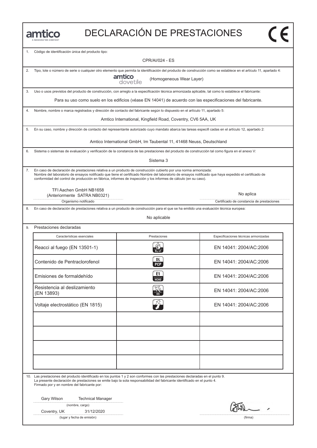| MANNINGTON COMPANY |
|--------------------|

### DECLARACIÓN DE PRESTACIONES

| 1. | Código de identificación única del producto tipo:                                                                                                                                                                                                                                                                                                                                              | <b>CPR/AI/024 - ES</b>                                               |                                                                                                                                                                    |
|----|------------------------------------------------------------------------------------------------------------------------------------------------------------------------------------------------------------------------------------------------------------------------------------------------------------------------------------------------------------------------------------------------|----------------------------------------------------------------------|--------------------------------------------------------------------------------------------------------------------------------------------------------------------|
|    |                                                                                                                                                                                                                                                                                                                                                                                                |                                                                      |                                                                                                                                                                    |
| 2. |                                                                                                                                                                                                                                                                                                                                                                                                |                                                                      | Tipo, lote o número de serie o cualquier otro elemento que permita la identificación del producto de construcción como se establece en el artículo 11, apartado 4: |
|    |                                                                                                                                                                                                                                                                                                                                                                                                | amtico<br>(Homogeneous Wear Layer)<br>dovetile                       |                                                                                                                                                                    |
| 3. | Uso o usos previstos del producto de construcción, con arreglo a la especificación técnica armonizada aplicable, tal como lo establece el fabricante:                                                                                                                                                                                                                                          |                                                                      |                                                                                                                                                                    |
|    |                                                                                                                                                                                                                                                                                                                                                                                                |                                                                      | Para su uso como suelo en los edificios (véase EN 14041) de acuerdo con las especificaciones del fabricante.                                                       |
| 4. | Nombre, nombre o marca registrados y dirección de contacto del fabricante según lo dispuesto en el artículo 11, apartado 5:                                                                                                                                                                                                                                                                    |                                                                      |                                                                                                                                                                    |
|    |                                                                                                                                                                                                                                                                                                                                                                                                | Amtico International, Kingfield Road, Coventry, CV6 5AA, UK          |                                                                                                                                                                    |
| 5. | En su caso, nombre y dirección de contacto del representante autorizado cuyo mandato abarca las tareas especifi cadas en el artículo 12, apartado 2:                                                                                                                                                                                                                                           |                                                                      |                                                                                                                                                                    |
|    |                                                                                                                                                                                                                                                                                                                                                                                                | Amtico International GmbH, Im Taubental 11, 41468 Neuss, Deutschland |                                                                                                                                                                    |
| 6. | Sistema o sistemas de evaluación y verificación de la constancia de las prestaciones del producto de construcción tal como figura en el anexo V:                                                                                                                                                                                                                                               |                                                                      |                                                                                                                                                                    |
|    |                                                                                                                                                                                                                                                                                                                                                                                                | Sistema 3                                                            |                                                                                                                                                                    |
| 7. | En caso de declaración de prestaciones relativa a un producto de construcción cubierto por una norma armonizada:<br>Nombre del laboratorio de ensayos notificado que tiene el certificado Nombre del laboratorio de ensayos notificado que haya expedido el certificado de<br>conformidad del control de producción en fábrica, informes de inspección y los informes de cálculo (en su caso). |                                                                      |                                                                                                                                                                    |
|    | TFI Aachen GmbH NB1658                                                                                                                                                                                                                                                                                                                                                                         |                                                                      |                                                                                                                                                                    |
|    | (Anteriormente SATRA NB0321)<br>Organismo notificado                                                                                                                                                                                                                                                                                                                                           |                                                                      | No aplica<br>Certificado de constancia de prestaciones                                                                                                             |
| 8. | En caso de declaración de prestaciones relativa a un producto de construcción para el que se ha emitido una evaluación técnica europea:                                                                                                                                                                                                                                                        |                                                                      |                                                                                                                                                                    |
|    |                                                                                                                                                                                                                                                                                                                                                                                                |                                                                      |                                                                                                                                                                    |
|    |                                                                                                                                                                                                                                                                                                                                                                                                | No aplicable                                                         |                                                                                                                                                                    |
| 9. | Prestaciones declaradas                                                                                                                                                                                                                                                                                                                                                                        |                                                                      |                                                                                                                                                                    |
|    | Características esenciales                                                                                                                                                                                                                                                                                                                                                                     | Prestaciones                                                         | Especificaciones técnicas armonizadas                                                                                                                              |
|    | Reacci al fuego (EN 13501-1)                                                                                                                                                                                                                                                                                                                                                                   | Bo-s1                                                                | EN 14041: 2004/AC:2006                                                                                                                                             |
|    | Contenido de Pentraclorofenol                                                                                                                                                                                                                                                                                                                                                                  | DL<br><b>PCP</b>                                                     | EN 14041: 2004/AC:2006                                                                                                                                             |
|    | Emisiones de formaldehído                                                                                                                                                                                                                                                                                                                                                                      | E1<br>НСНО                                                           | EN 14041: 2004/AC:2006                                                                                                                                             |
|    | Resistencia al deslizamiento<br>(EN 13893)                                                                                                                                                                                                                                                                                                                                                     |                                                                      | EN 14041: 2004/AC:2006                                                                                                                                             |
|    | Voltaje electrostático (EN 1815)                                                                                                                                                                                                                                                                                                                                                               |                                                                      | EN 14041: 2004/AC:2006                                                                                                                                             |
|    |                                                                                                                                                                                                                                                                                                                                                                                                |                                                                      |                                                                                                                                                                    |
|    |                                                                                                                                                                                                                                                                                                                                                                                                |                                                                      |                                                                                                                                                                    |
|    |                                                                                                                                                                                                                                                                                                                                                                                                |                                                                      |                                                                                                                                                                    |
|    |                                                                                                                                                                                                                                                                                                                                                                                                |                                                                      |                                                                                                                                                                    |
|    |                                                                                                                                                                                                                                                                                                                                                                                                |                                                                      |                                                                                                                                                                    |
|    | 10. Las prestaciones del producto identificado en los puntos 1 y 2 son conformes con las prestaciones declaradas en el punto 9.                                                                                                                                                                                                                                                                |                                                                      |                                                                                                                                                                    |
|    | La presente declaración de prestaciones se emite bajo la sola responsabilidad del fabricante identificado en el punto 4.<br>Firmado por y en nombre del fabricante por:                                                                                                                                                                                                                        |                                                                      |                                                                                                                                                                    |
|    | Gary Wilson<br><b>Technical Manager</b>                                                                                                                                                                                                                                                                                                                                                        |                                                                      |                                                                                                                                                                    |
|    | (nombre, cargo)                                                                                                                                                                                                                                                                                                                                                                                |                                                                      |                                                                                                                                                                    |
|    | Coventry, UK<br>31/12/2020                                                                                                                                                                                                                                                                                                                                                                     |                                                                      |                                                                                                                                                                    |
|    | (lugar y fecha de emisión)                                                                                                                                                                                                                                                                                                                                                                     |                                                                      | (firma)                                                                                                                                                            |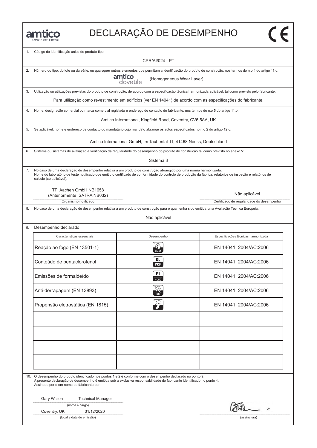

## DECLARAҪÃO DE DESEMPENHO

| 1. | Código de identificação único do produto-tipo:                                                                                                                                                                                                                                                             |                                                                      |                                           |
|----|------------------------------------------------------------------------------------------------------------------------------------------------------------------------------------------------------------------------------------------------------------------------------------------------------------|----------------------------------------------------------------------|-------------------------------------------|
|    |                                                                                                                                                                                                                                                                                                            | <b>CPR/AI/024 - PT</b>                                               |                                           |
| 2. | Número do tipo, do lote ou da série, ou quaisquer outros elementos que permitam a identificação do produto de construção, nos termos do n.o 4 do artigo 11.o:                                                                                                                                              |                                                                      |                                           |
|    |                                                                                                                                                                                                                                                                                                            | amtico<br>dovetile<br>(Homogeneous Wear Layer)                       |                                           |
| 3. | Utilização ou utilizações previstas do produto de construção, de acordo com a especificação técnica harmonizada aplicável, tal como previsto pelo fabricante:                                                                                                                                              |                                                                      |                                           |
|    | Para utilização como revestimento em edifícios (ver EN 14041) de acordo com as especificações do fabricante.                                                                                                                                                                                               |                                                                      |                                           |
| 4. | Nome, designação comercial ou marca comercial registada e endereço de contacto do fabricante, nos termos do n.o 5 do artigo 11.o:                                                                                                                                                                          |                                                                      |                                           |
|    |                                                                                                                                                                                                                                                                                                            | Amtico International, Kingfield Road, Coventry, CV6 5AA, UK          |                                           |
| 5. | Se aplicável, nome e endereço de contacto do mandatário cujo mandato abrange os actos especificados no n.o 2 do artigo 12.o:                                                                                                                                                                               |                                                                      |                                           |
|    |                                                                                                                                                                                                                                                                                                            | Amtico International GmbH, Im Taubental 11, 41468 Neuss, Deutschland |                                           |
| 6. | Sistema ou sistemas de avaliação e verificação da regularidade do desempenho do produto de construção tal como previsto no anexo V:                                                                                                                                                                        |                                                                      |                                           |
|    |                                                                                                                                                                                                                                                                                                            | Sistema 3                                                            |                                           |
| 7. | No caso de uma declaração de desempenho relativa a um produto de construção abrangido por uma norma harmonizada:<br>Nome do laboratório de teste notificado que emitiu o certificado de conformidade do controlo de produção da fábrica, relatórios de inspeção e relatórios de<br>cálculo (se aplicável). |                                                                      |                                           |
|    | TFI Aachen GmbH NB1658<br>(Anteriormente SATRA NB032)                                                                                                                                                                                                                                                      |                                                                      | Não aplicável                             |
|    | Organismo notificado                                                                                                                                                                                                                                                                                       |                                                                      | Certificado de regularidade do desempenho |
| 8. | No caso de uma declaração de desempenho relativa a um produto de construção para o qual tenha sido emitida uma Avaliação Técnica Europeia:                                                                                                                                                                 |                                                                      |                                           |
|    |                                                                                                                                                                                                                                                                                                            | Não aplicável                                                        |                                           |
| 9. | Desempenho declarado                                                                                                                                                                                                                                                                                       |                                                                      |                                           |
|    | Características essenciais                                                                                                                                                                                                                                                                                 | Desempenho                                                           | Especificações técnicas harmonizada       |
|    | Reação ao fogo (EN 13501-1)                                                                                                                                                                                                                                                                                | $B_{fl}$ -s1                                                         | EN 14041: 2004/AC:2006                    |
|    | Conteúdo de pentaclorofenol                                                                                                                                                                                                                                                                                | DL<br><b>PCP</b>                                                     | EN 14041: 2004/AC:2006                    |
|    | Emissões de formaldeído                                                                                                                                                                                                                                                                                    | E1<br>НСНО                                                           | EN 14041: 2004/AC:2006                    |
|    | Anti-derrapagem (EN 13893)                                                                                                                                                                                                                                                                                 |                                                                      | EN 14041: 2004/AC:2006                    |
|    | Propensão eletrostática (EN 1815)                                                                                                                                                                                                                                                                          | 22                                                                   | EN 14041: 2004/AC:2006                    |
|    |                                                                                                                                                                                                                                                                                                            |                                                                      |                                           |
|    |                                                                                                                                                                                                                                                                                                            |                                                                      |                                           |
|    |                                                                                                                                                                                                                                                                                                            |                                                                      |                                           |
|    |                                                                                                                                                                                                                                                                                                            |                                                                      |                                           |
|    |                                                                                                                                                                                                                                                                                                            |                                                                      |                                           |
|    |                                                                                                                                                                                                                                                                                                            |                                                                      |                                           |
|    | 10. O desempenho do produto identificado nos pontos 1 e 2 é conforme com o desempenho declarado no ponto 9.<br>A presente declaração de desempenho é emitida sob a exclusiva responsabilidade do fabricante identificado no ponto 4.                                                                       |                                                                      |                                           |
|    | Assinado por e em nome do fabricante por:                                                                                                                                                                                                                                                                  |                                                                      |                                           |
|    | Gary Wilson<br><b>Technical Manager</b>                                                                                                                                                                                                                                                                    |                                                                      |                                           |
|    | (nome e cargo)                                                                                                                                                                                                                                                                                             |                                                                      |                                           |
|    | 31/12/2020<br>Coventry, UK<br>(local e data de emissão)                                                                                                                                                                                                                                                    |                                                                      | (assinatura)                              |
|    |                                                                                                                                                                                                                                                                                                            |                                                                      |                                           |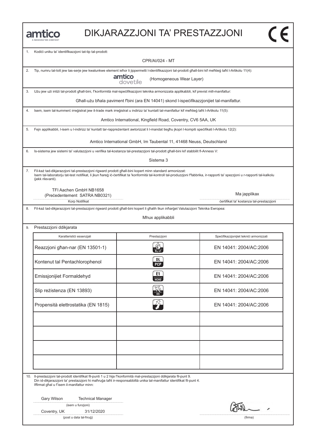

#### DIKJARAZZJONI TA' PRESTAZZJONI

| 1.  | Kodići uniku ta' identifikazzjoni tat-tip tal-prodott:                                                                                                             | <b>CPR/AI/024 - MT</b>                                                                      |                                                                                                                                                                                |
|-----|--------------------------------------------------------------------------------------------------------------------------------------------------------------------|---------------------------------------------------------------------------------------------|--------------------------------------------------------------------------------------------------------------------------------------------------------------------------------|
|     |                                                                                                                                                                    |                                                                                             |                                                                                                                                                                                |
| 2.  | Tip, numru tal-lott jew tas-serje jew kwalunkwe element iehor li jippermetti l-identifikazzjoni tal-prodott ghall-bini kif mehtieg taht l-Artikolu 11(4):          | amtico<br>(Homogeneous Wear Layer)<br>dovetile                                              |                                                                                                                                                                                |
| 3.  | Użu jew użi intiżi tal-prodott għall-bini, f'konformità mal-ispecifikazzjoni teknika armonizzata applikabbli, kif previst mill-manifattur:                         |                                                                                             |                                                                                                                                                                                |
|     |                                                                                                                                                                    | Għall-użu bħala paviment f'bini (ara EN 14041) skond l-ispeċifikazzjonijiet tal-manifattur. |                                                                                                                                                                                |
| 4.  | Isem, isem tal-kummerc irregistrat jew it-trade mark irregistrat u indirizz ta' kuntatt tal-manifattur kif mehtieg taht l-Artikolu 11(5):                          |                                                                                             |                                                                                                                                                                                |
|     |                                                                                                                                                                    | Amtico International, Kingfield Road, Coventry, CV6 5AA, UK                                 |                                                                                                                                                                                |
| 5.  | Fejn applikabbli, I-isem u I-indirizz ta' kuntatt tar-rappreżentant awtorizzat li I-mandat tieghu jkopri I-kompiti specifikati I-Artikolu 12(2):                   |                                                                                             |                                                                                                                                                                                |
|     |                                                                                                                                                                    | Amtico International GmbH, Im Taubental 11, 41468 Neuss, Deutschland                        |                                                                                                                                                                                |
| 6.  | Is-sistema jew sistemi ta' valutazzjoni u verifika tal-kostanza tal-prestazzjoni tal-prodott ghall-bini kif stabbilit fl-Anness V:                                 |                                                                                             |                                                                                                                                                                                |
|     |                                                                                                                                                                    | Sistema 3                                                                                   |                                                                                                                                                                                |
| 7.  | Fil-każ tad-dikjarazzjoni tal-prestazzjoni rigward prodott għall-bini kopert minn standard armonizzat:<br>(jekk rilevanti).                                        |                                                                                             | Isem tal-laboratorju tat-test notifikat, li jkun hareg ic-certifikat ta 'konformità tal-kontroll tal-produzzjoni ffabbrika, ir-rapporti ta' spezzjoni u r-rapporti tal-kalkolu |
|     | TFI Aachen GmbH NB1658                                                                                                                                             |                                                                                             |                                                                                                                                                                                |
|     | (Precedentement SATRA NB0321)<br>Korp Notifikat                                                                                                                    |                                                                                             | Ma japplikax<br>certifikat ta' kostanza tal-prestazzjoni                                                                                                                       |
| 8.  | Fil-każ tad-dikjarazzjoni tal-prestazzjoni rigward prodott għall-bini kopert li għalih tkun inħarġet Valutazzjoni Teknika Ewropea:                                 |                                                                                             |                                                                                                                                                                                |
|     |                                                                                                                                                                    | Mhux applikabbli                                                                            |                                                                                                                                                                                |
| 9.  | Prestazzjoni ddikjarata                                                                                                                                            |                                                                                             |                                                                                                                                                                                |
|     | Karatteristići essenzjali                                                                                                                                          | Prestazzjoni                                                                                | Specifikazzjonijiet teknici armonizzati                                                                                                                                        |
|     | Reazzjoni għan-nar (EN 13501-1)                                                                                                                                    | $B_{fl}$ -s1                                                                                | EN 14041: 2004/AC:2006                                                                                                                                                         |
|     | Kontenut tal Pentachlorophenol                                                                                                                                     | DL.<br><b>PCP</b>                                                                           | EN 14041: 2004/AC:2006                                                                                                                                                         |
|     | Emissjonijiet Formaldehyd                                                                                                                                          | E1<br>НСНО                                                                                  | EN 14041: 2004/AC:2006                                                                                                                                                         |
|     | Slip reżistenza (EN 13893)                                                                                                                                         |                                                                                             | EN 14041: 2004/AC:2006                                                                                                                                                         |
|     | Propensità elettrostatika (EN 1815)                                                                                                                                |                                                                                             | EN 14041: 2004/AC:2006                                                                                                                                                         |
|     |                                                                                                                                                                    |                                                                                             |                                                                                                                                                                                |
| 10. | II-prestazzjoni tal-prodott identifikat fil-punti 1 u 2 hija f'konformità mal-prestazzjoni ddikjarata fil-punt 9.                                                  |                                                                                             |                                                                                                                                                                                |
|     | Din id-dikjarazzjoni ta' prestazzjoni hi maħruġa taħt ir-responsabbiltà unika tal-manifattur identifikat fil-punt 4.<br>Iffirmat ghal u f'isem il-manifattur minn: |                                                                                             |                                                                                                                                                                                |
|     | Gary Wilson<br><b>Technical Manager</b>                                                                                                                            |                                                                                             |                                                                                                                                                                                |
|     | (isem u funzjoni)                                                                                                                                                  |                                                                                             |                                                                                                                                                                                |
|     | 31/12/2020<br>Coventry, UK                                                                                                                                         |                                                                                             |                                                                                                                                                                                |
|     | (post u data tal-ħruģ)                                                                                                                                             |                                                                                             | (firma)                                                                                                                                                                        |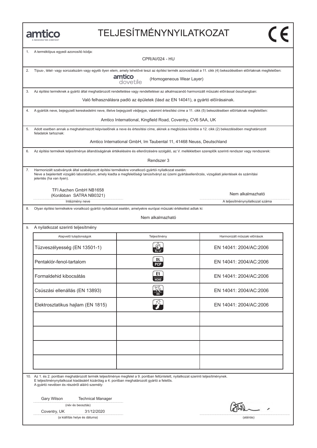## TELJESÍTMÉNYNYILATKOZAT

| 1. | A terméktípus egyedi azonosító kódja:                                                                                                                                                                                                                                                | <b>CPR/AI/024 - HU</b>                                                           |                          |                                                     |  |
|----|--------------------------------------------------------------------------------------------------------------------------------------------------------------------------------------------------------------------------------------------------------------------------------------|----------------------------------------------------------------------------------|--------------------------|-----------------------------------------------------|--|
|    |                                                                                                                                                                                                                                                                                      |                                                                                  |                          |                                                     |  |
| 2. | Típus-, tétel- vagy sorozatszám vagy egyéb ilyen elem, amely lehetővé teszi az építési termék azonosítását a 11. cikk (4) bekezdésében előírtaknak megfelelően:                                                                                                                      |                                                                                  |                          |                                                     |  |
|    |                                                                                                                                                                                                                                                                                      | amtico<br>dovetile                                                               | (Homogeneous Wear Layer) |                                                     |  |
| 3. | Az építési terméknek a gyártó által meghatározott rendeltetése vagy rendeltetései az alkalmazandó harmonizált műszaki előírással összhangban:                                                                                                                                        |                                                                                  |                          |                                                     |  |
|    |                                                                                                                                                                                                                                                                                      | Való felhasználásra padló az épületek (lásd az EN 14041), a gyártó előírásainak. |                          |                                                     |  |
| 4. | A gyártók neve, bejegyzett kereskedelmi neve, illetve bejegyzett védjegye, valamint értesítési címe a 11. cikk (5) bekezdésében előírtaknak megfelelően:                                                                                                                             |                                                                                  |                          |                                                     |  |
|    | Amtico International, Kingfield Road, Coventry, CV6 5AA, UK                                                                                                                                                                                                                          |                                                                                  |                          |                                                     |  |
| 5. | Adott esetben annak a meghatalmazott képviselőnek a neve és értesítési címe, akinek a megbízása körébe a 12. cikk (2) bekezdésében meghatározott<br>feladatok tartoznak:                                                                                                             |                                                                                  |                          |                                                     |  |
|    |                                                                                                                                                                                                                                                                                      | Amtico International GmbH, Im Taubental 11, 41468 Neuss, Deutschland             |                          |                                                     |  |
| 6. | Az építési termékek teljesítménye állandóságának értékelésére és ellenőrzésére szolgáló, az V. mellékletben szereplők szerinti rendszer vagy rendszerek:                                                                                                                             |                                                                                  |                          |                                                     |  |
|    |                                                                                                                                                                                                                                                                                      | Rendszer 3                                                                       |                          |                                                     |  |
| 7. | Harmonizált szabványok által szabályozott építési termékekre vonatkozó gyártói nyilatkozat esetén:<br>Neve a bejelentett vizsgáló laboratórium, amely kiadta a megfelelőségi tanúsítványt az üzemi gyártásellenőrzés, vizsgálati jelentések és számítási<br>jelentés (ha van ilyen). |                                                                                  |                          |                                                     |  |
|    | TFI Aachen GmbH NB1658                                                                                                                                                                                                                                                               |                                                                                  |                          |                                                     |  |
|    | (Korábban SATRA NB0321)<br>Intézmény neve                                                                                                                                                                                                                                            |                                                                                  |                          | Nem alkalmazható<br>A teljesítménynyilatkozat száma |  |
| 8. | Olyan építési termékekre vonatkozó gyártói nyilatkozat esetén, amelyekre európai műszaki értékelést adtak ki:                                                                                                                                                                        |                                                                                  |                          |                                                     |  |
|    |                                                                                                                                                                                                                                                                                      | Nem alkalmazható                                                                 |                          |                                                     |  |
| 9. | A nyilatkozat szerinti teljesítmény                                                                                                                                                                                                                                                  |                                                                                  |                          |                                                     |  |
|    |                                                                                                                                                                                                                                                                                      |                                                                                  |                          |                                                     |  |
|    | Alapvető tulajdonságok                                                                                                                                                                                                                                                               | Teljesítmény                                                                     |                          | Harmonizált műszaki előírások                       |  |
|    | Tüzveszélyesség (EN 13501-1)                                                                                                                                                                                                                                                         |                                                                                  |                          | EN 14041: 2004/AC:2006                              |  |
|    | Pentaklór-fenol-tartalom                                                                                                                                                                                                                                                             | DL<br><b>PCP</b>                                                                 |                          | EN 14041: 2004/AC:2006                              |  |
|    | Formaldehid kibocsátás                                                                                                                                                                                                                                                               | E1<br><b>HCHO</b>                                                                |                          | EN 14041: 2004/AC:2006                              |  |
|    | Csúszási ellenállás (EN 13893)                                                                                                                                                                                                                                                       |                                                                                  |                          | EN 14041: 2004/AC:2006                              |  |
|    | Elektrosztatikus hajlam (EN 1815)                                                                                                                                                                                                                                                    |                                                                                  |                          | EN 14041: 2004/AC:2006                              |  |
|    |                                                                                                                                                                                                                                                                                      |                                                                                  |                          |                                                     |  |
|    |                                                                                                                                                                                                                                                                                      |                                                                                  |                          |                                                     |  |
|    |                                                                                                                                                                                                                                                                                      |                                                                                  |                          |                                                     |  |
|    |                                                                                                                                                                                                                                                                                      |                                                                                  |                          |                                                     |  |
|    |                                                                                                                                                                                                                                                                                      |                                                                                  |                          |                                                     |  |
|    |                                                                                                                                                                                                                                                                                      |                                                                                  |                          |                                                     |  |
|    | 10. Az 1. és 2. pontban meghatározott termék teljesítménye megfelel a 9. pontban feltüntetett, nyilatkozat szerinti teljesítménynek.<br>E teljesítménynyilatkozat kiadásáért kizárólag a 4. pontban meghatározott gyártó a felelős.<br>A gyártó nevében és részéről aláíró személy:  |                                                                                  |                          |                                                     |  |
|    | Gary Wilson<br><b>Technical Manager</b>                                                                                                                                                                                                                                              |                                                                                  |                          |                                                     |  |
|    | (név és beosztás)                                                                                                                                                                                                                                                                    |                                                                                  |                          |                                                     |  |
|    | Coventry, UK<br>31/12/2020                                                                                                                                                                                                                                                           |                                                                                  |                          |                                                     |  |
|    | (a kiállítás helye és dátuma)                                                                                                                                                                                                                                                        |                                                                                  |                          | (aláírás)                                           |  |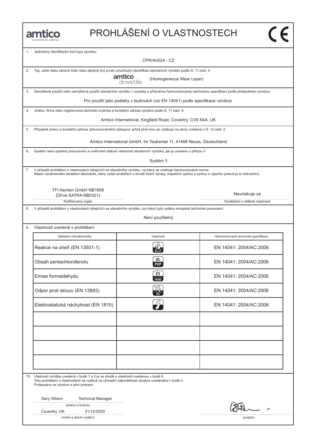## PROHLÁŠENÍ O VLASTNOSTECH

| 1. | Jedinečný identifikační kód typu výrobku:                                                                                                                                                                                                                           |                                                                               |                                                  |
|----|---------------------------------------------------------------------------------------------------------------------------------------------------------------------------------------------------------------------------------------------------------------------|-------------------------------------------------------------------------------|--------------------------------------------------|
|    |                                                                                                                                                                                                                                                                     | CPR/AI/024 - CZ                                                               |                                                  |
| 2. | Typ, série nebo sériové číslo nebo jakýkoli jiný prvek umožňující identifikaci stavebních výrobků podle čl. 11 odst. 4:                                                                                                                                             |                                                                               |                                                  |
|    |                                                                                                                                                                                                                                                                     | amtico<br>(Homogeneous Wear Layer)<br>dovetile                                |                                                  |
| 3. | Zamýšlené použití nebo zamýšlená použití stavebního výrobku v souladu s příslušnou harmonizovanou technickou specifikací podle předpokladu výrobce:                                                                                                                 |                                                                               |                                                  |
|    |                                                                                                                                                                                                                                                                     | Pro použití jako podlahy v budovách (viz EN 14041) podle specifikace výrobce. |                                                  |
| 4. | Jméno, firma nebo registrovaná obchodní známka a kontaktní adresa výrobce podle čl. 11 odst. 5:                                                                                                                                                                     |                                                                               |                                                  |
|    |                                                                                                                                                                                                                                                                     | Amtico International, Kingfield Road, Coventry, CV6 5AA, UK                   |                                                  |
| 5. | Případně jméno a kontaktní adresa zplnomocněného zástupce, jehož plná moc se vztahuje na úkoly uvedené v čl. 12 odst. 2:                                                                                                                                            |                                                                               |                                                  |
|    |                                                                                                                                                                                                                                                                     | Amtico International GmbH, Im Taubental 11, 41468 Neuss, Deutschland          |                                                  |
| 6. | Systém nebo systémy posuzování a ověřování stálosti vlastností stavebních výrobků, jak je uvedeno v příloze V:                                                                                                                                                      |                                                                               |                                                  |
|    |                                                                                                                                                                                                                                                                     | Systém 3                                                                      |                                                  |
| 7. | V případě prohlášení o vlastnostech týkajících se stavebního výrobku, na který se vztahuje harmonizovaná norma:<br>Název oznámeného zkušební laboratoře, který vydal osvědčení o shodě řízení výroby, inspekční zprávy a zprávy o výpočtu (pokud je to relevantní). |                                                                               |                                                  |
|    |                                                                                                                                                                                                                                                                     |                                                                               |                                                  |
|    | TFI Aachen GmbH NB1658                                                                                                                                                                                                                                              |                                                                               |                                                  |
|    | (Dříve SATRA NB0321)<br>Notifikovaný orgán                                                                                                                                                                                                                          |                                                                               | Nevztahuje se<br>Osvědčení o stálosti vlastností |
| 8. | V případě prohlášení o vlastnostech týkajících se stavebního výrobku, pro který bylo vydáno evropské technické posouzení:                                                                                                                                           |                                                                               |                                                  |
|    |                                                                                                                                                                                                                                                                     | Není použitelný                                                               |                                                  |
|    |                                                                                                                                                                                                                                                                     |                                                                               |                                                  |
| 9. | Vlastnosti uvedené v prohlášení                                                                                                                                                                                                                                     |                                                                               |                                                  |
|    | Základní charakteristiky                                                                                                                                                                                                                                            | Vlastnost                                                                     | Harmonizované technické specifikace              |
|    | Reakce na oheň (EN 13501-1)                                                                                                                                                                                                                                         | $B_{fl}$ -s1                                                                  | EN 14041: 2004/AC:2006                           |
|    | Obsah pentachlorofenolu                                                                                                                                                                                                                                             | DL<br>PCP                                                                     | EN 14041: 2004/AC:2006                           |
|    | Emise formaldehydu                                                                                                                                                                                                                                                  | E1<br><b>НСНО</b>                                                             | EN 14041: 2004/AC:2006                           |
|    | Odpor proti skluzu (EN 13893)                                                                                                                                                                                                                                       |                                                                               | EN 14041: 2004/AC:2006                           |
|    | Elektrostatická náchylnost (EN 1815)                                                                                                                                                                                                                                |                                                                               | EN 14041: 2004/AC:2006                           |
|    |                                                                                                                                                                                                                                                                     |                                                                               |                                                  |
|    |                                                                                                                                                                                                                                                                     |                                                                               |                                                  |
|    |                                                                                                                                                                                                                                                                     |                                                                               |                                                  |
|    |                                                                                                                                                                                                                                                                     |                                                                               |                                                  |
|    |                                                                                                                                                                                                                                                                     |                                                                               |                                                  |
|    |                                                                                                                                                                                                                                                                     |                                                                               |                                                  |
|    | 10. Vlastnost výrobku uvedená v bodě 1 a 2 je ve shodě s vlastností uvedenou v bodě 9.<br>Toto prohlášení o vlastnostech se vydává na výhradní odpovědnost výrobce uvedeného v bodě 4.<br>Podepsáno za výrobce a jeho jménem:                                       |                                                                               |                                                  |
|    | Gary Wilson<br><b>Technical Manager</b>                                                                                                                                                                                                                             |                                                                               |                                                  |
|    | (jméno a funkce)                                                                                                                                                                                                                                                    |                                                                               | W                                                |
|    | Coventry, UK<br>31/12/2020                                                                                                                                                                                                                                          |                                                                               |                                                  |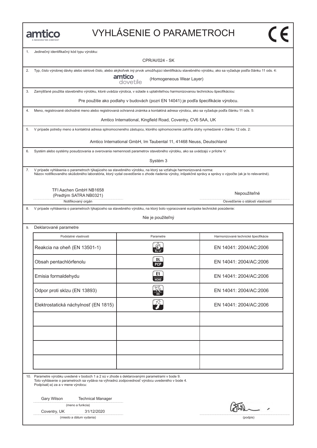### VYHLÁSENIE O PARAMETROCH

| 1.  | Jedinečný identifikačný kód typu výrobku:                                                                                                                                                                                                                                 | <b>CPR/AI/024 - SK</b>                                                              |                                                                                                                                                               |
|-----|---------------------------------------------------------------------------------------------------------------------------------------------------------------------------------------------------------------------------------------------------------------------------|-------------------------------------------------------------------------------------|---------------------------------------------------------------------------------------------------------------------------------------------------------------|
|     |                                                                                                                                                                                                                                                                           |                                                                                     |                                                                                                                                                               |
| 2.  |                                                                                                                                                                                                                                                                           | amtico<br>(Homogeneous Wear Layer)<br>dovetile                                      | Typ, číslo výrobnej dávky alebo sériové číslo, alebo akýkoľvek iný prvok umožňujúci identifikáciu stavebného výrobku, ako sa vyžaduje podľa článku 11 ods. 4: |
| 3.  | Zamýšľané použitia stavebného výrobku, ktoré uvádza výrobca, v súlade s uplatniteľnou harmonizovanou technickou špecifikáciou:                                                                                                                                            |                                                                                     |                                                                                                                                                               |
|     |                                                                                                                                                                                                                                                                           | Pre použitie ako podlahy v budovách (pozri EN 14041) je podľa špecifikácie výrobcu. |                                                                                                                                                               |
| 4.  | Meno, registrované obchodné meno alebo registrovaná ochranná známka a kontaktná adresa výrobcu, ako sa vyžaduje podľa článku 11 ods. 5:                                                                                                                                   |                                                                                     |                                                                                                                                                               |
|     |                                                                                                                                                                                                                                                                           | Amtico International, Kingfield Road, Coventry, CV6 5AA, UK                         |                                                                                                                                                               |
| 5.  | V prípade potreby meno a kontaktná adresa splnomocneného zástupcu, ktorého splnomocnenie zahŕňa úlohy vymedzené v článku 12 ods. 2:                                                                                                                                       |                                                                                     |                                                                                                                                                               |
|     |                                                                                                                                                                                                                                                                           | Amtico International GmbH, Im Taubental 11, 41468 Neuss, Deutschland                |                                                                                                                                                               |
| 6.  | Systém alebo systémy posudzovania a overovania nemennosti parametrov stavebného výrobku, ako sa uvádzajú v prílohe V:                                                                                                                                                     |                                                                                     |                                                                                                                                                               |
|     |                                                                                                                                                                                                                                                                           | Systém 3                                                                            |                                                                                                                                                               |
| 7.  | V prípade vyhlásenia o parametroch týkajúceho sa stavebného výrobku, na ktorý sa vzťahuje harmonizovaná norma:<br>Názov notifikovaného skúšobného laboratória, ktorý vydal osvedčenie o zhode riadenia výroby, inšpekčné správy a správy o výpočte (ak je to relevantné). |                                                                                     |                                                                                                                                                               |
|     | TFI Aachen GmbH NB1658                                                                                                                                                                                                                                                    |                                                                                     |                                                                                                                                                               |
|     | (Predtým SATRA NB0321)                                                                                                                                                                                                                                                    |                                                                                     | Nepoužiteľné                                                                                                                                                  |
|     | Notifikovaný orgán                                                                                                                                                                                                                                                        |                                                                                     | Osvedčenie o stálosti vlastností                                                                                                                              |
| 8.  | V prípade vyhlásenia o parametroch týkajúceho sa stavebného výrobku, na ktorý bolo vypracované európske technické posúdenie:                                                                                                                                              |                                                                                     |                                                                                                                                                               |
|     |                                                                                                                                                                                                                                                                           | Nie je použiteľný                                                                   |                                                                                                                                                               |
| 9.  | Deklarované parametre                                                                                                                                                                                                                                                     |                                                                                     |                                                                                                                                                               |
|     | Podstatné vlastnosti                                                                                                                                                                                                                                                      | Parametre                                                                           | Harmonizované technické špecifikácie                                                                                                                          |
|     | Reakcia na oheň (EN 13501-1)                                                                                                                                                                                                                                              | $B_{fl}$ -s1                                                                        | EN 14041: 2004/AC:2006                                                                                                                                        |
|     | Obsah pentachlórfenolu                                                                                                                                                                                                                                                    | DL<br><b>PCP</b>                                                                    | EN 14041: 2004/AC:2006                                                                                                                                        |
|     | Emisia formaldehydu                                                                                                                                                                                                                                                       | E1<br><b>HCHO</b>                                                                   | EN 14041: 2004/AC:2006                                                                                                                                        |
|     | Odpor proti sklzu (EN 13893)                                                                                                                                                                                                                                              |                                                                                     | EN 14041: 2004/AC:2006                                                                                                                                        |
|     | Elektrostatická náchylnosť (EN 1815)                                                                                                                                                                                                                                      |                                                                                     | EN 14041: 2004/AC:2006                                                                                                                                        |
|     |                                                                                                                                                                                                                                                                           |                                                                                     |                                                                                                                                                               |
| 10. | Parametre výrobku uvedené v bodoch 1 a 2 sú v zhode s deklarovanými parametrami v bode 9.                                                                                                                                                                                 |                                                                                     |                                                                                                                                                               |
|     | Toto vyhlásenie o parametroch sa vydáva na výhradnú zodpovednosť výrobcu uvedeného v bode 4.<br>Podpísal(-a) za a v mene výrobcu:                                                                                                                                         |                                                                                     |                                                                                                                                                               |
|     | Gary Wilson<br><b>Technical Manager</b>                                                                                                                                                                                                                                   |                                                                                     |                                                                                                                                                               |
|     | (meno a funkcia)                                                                                                                                                                                                                                                          |                                                                                     |                                                                                                                                                               |
|     | 31/12/2020<br>Coventry, UK                                                                                                                                                                                                                                                |                                                                                     |                                                                                                                                                               |
|     | (miesto a dátum vydania)                                                                                                                                                                                                                                                  |                                                                                     | (podpis)                                                                                                                                                      |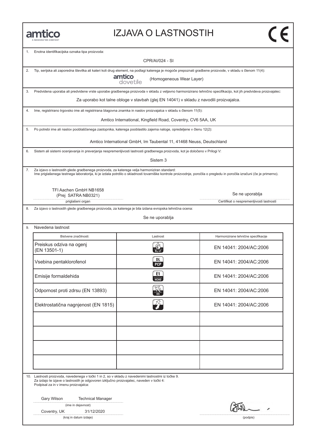#### IZJAVA O LASTNOSTIH

| 1.  | Enotna identifikacijska oznaka tipa proizvoda:                                                                                                                                                                                                                        |                                                                                         |                                                                                                                                                                 |
|-----|-----------------------------------------------------------------------------------------------------------------------------------------------------------------------------------------------------------------------------------------------------------------------|-----------------------------------------------------------------------------------------|-----------------------------------------------------------------------------------------------------------------------------------------------------------------|
|     |                                                                                                                                                                                                                                                                       | CPR/AI/024 - SI                                                                         |                                                                                                                                                                 |
| 2.  | Tip, serijska ali zaporedna številka ali kateri koli drug element, na podlagi katerega je mogoče prepoznati gradbene proizvode, v skladu s členom 11(4):                                                                                                              |                                                                                         |                                                                                                                                                                 |
|     |                                                                                                                                                                                                                                                                       | amtico<br>(Homogeneous Wear Layer)<br>dovetile                                          |                                                                                                                                                                 |
| 3.  |                                                                                                                                                                                                                                                                       |                                                                                         | Predvidena uporaba ali predvidene vrste uporabe gradbenega proizvoda v skladu z veljavno harmonizirano tehnično specifikacijo, kot jih predvideva proizvajalec: |
|     |                                                                                                                                                                                                                                                                       | Za uporabo kot talne obloge v stavbah (glej EN 14041) v skladu z navodili proizvajalca. |                                                                                                                                                                 |
| 4.  | Ime, registrirano trgovsko ime ali registrirana blagovna znamka in naslov proizvajalca v skladu s členom 11(5):                                                                                                                                                       |                                                                                         |                                                                                                                                                                 |
|     |                                                                                                                                                                                                                                                                       | Amtico International, Kingfield Road, Coventry, CV6 5AA, UK                             |                                                                                                                                                                 |
| 5.  | Po potrebi ime ali naslov pooblaščenega zastopnika, katerega pooblastilo zajema naloge, opredeljene v členu 12(2):                                                                                                                                                    |                                                                                         |                                                                                                                                                                 |
|     |                                                                                                                                                                                                                                                                       | Amtico International GmbH, Im Taubental 11, 41468 Neuss, Deutschland                    |                                                                                                                                                                 |
| 6.  | Sistem ali sistemi ocenjevanja in preverjanja nespremenljivosti lastnosti gradbenega proizvoda, kot je določeno v Prilogi V:                                                                                                                                          |                                                                                         |                                                                                                                                                                 |
|     |                                                                                                                                                                                                                                                                       | Sistem 3                                                                                |                                                                                                                                                                 |
| 7.  | Za izjavo o lastnostih glede gradbenega proizvoda, za katerega velja harmoniziran standard:<br>Ime priglašenega testnega laboratorija, ki je izdala potrdilo o skladnosti tovarniške kontrole proizvodnje, poročila o pregledu in poročila izračuni (če je primerno). |                                                                                         |                                                                                                                                                                 |
|     | TFI Aachen GmbH NB1658                                                                                                                                                                                                                                                |                                                                                         |                                                                                                                                                                 |
|     | (Prej SATRA NB0321)                                                                                                                                                                                                                                                   |                                                                                         | Se ne uporablja                                                                                                                                                 |
| 8.  | priglašeni organ<br>Za izjavo o lastnostih glede gradbenega proizvoda, za katerega je bila izdana evropska tehnična ocena:                                                                                                                                            |                                                                                         | Certifikat o nespremenljivosti lastnosti                                                                                                                        |
|     |                                                                                                                                                                                                                                                                       | Se ne uporablja                                                                         |                                                                                                                                                                 |
| 9.  | Navedena lastnost                                                                                                                                                                                                                                                     |                                                                                         |                                                                                                                                                                 |
|     | Bistvene značilnosti:                                                                                                                                                                                                                                                 | Lastnost                                                                                | Harmonizirane tehnične specifikacije                                                                                                                            |
|     |                                                                                                                                                                                                                                                                       |                                                                                         |                                                                                                                                                                 |
|     | Preiskus odziva na ogenj<br>(EN 13501-1)                                                                                                                                                                                                                              | $B_{11}$ -s1                                                                            | EN 14041: 2004/AC:2006                                                                                                                                          |
|     | Vsebina pentaklorofenol                                                                                                                                                                                                                                               | DL<br><b>PCP</b>                                                                        | EN 14041: 2004/AC:2006                                                                                                                                          |
|     | Emisije formaldehida                                                                                                                                                                                                                                                  | E1<br>НСНО                                                                              | EN 14041: 2004/AC:2006                                                                                                                                          |
|     | Odpornost proti zdrsu (EN 13893)                                                                                                                                                                                                                                      |                                                                                         | EN 14041: 2004/AC:2006                                                                                                                                          |
|     | Elektrostatična nagnjenost (EN 1815)                                                                                                                                                                                                                                  |                                                                                         | EN 14041: 2004/AC:2006                                                                                                                                          |
|     |                                                                                                                                                                                                                                                                       |                                                                                         |                                                                                                                                                                 |
|     |                                                                                                                                                                                                                                                                       |                                                                                         |                                                                                                                                                                 |
|     |                                                                                                                                                                                                                                                                       |                                                                                         |                                                                                                                                                                 |
|     |                                                                                                                                                                                                                                                                       |                                                                                         |                                                                                                                                                                 |
|     |                                                                                                                                                                                                                                                                       |                                                                                         |                                                                                                                                                                 |
|     |                                                                                                                                                                                                                                                                       |                                                                                         |                                                                                                                                                                 |
| 10. | Lastnosti proizvoda, navedenega v točki 1 in 2, so v skladu z navedenimi lastnostmi iz točke 9.<br>Za izdajo te izjave o lastnostih je odgovoren izključno proizvajalec, naveden v točki 4:<br>Podpisal za in v imenu proizvajalca:                                   |                                                                                         |                                                                                                                                                                 |
|     |                                                                                                                                                                                                                                                                       |                                                                                         |                                                                                                                                                                 |
|     | Gary Wilson<br><b>Technical Manager</b><br>(ime in dejavnost)                                                                                                                                                                                                         |                                                                                         |                                                                                                                                                                 |
|     | Coventry, UK<br>31/12/2020                                                                                                                                                                                                                                            |                                                                                         |                                                                                                                                                                 |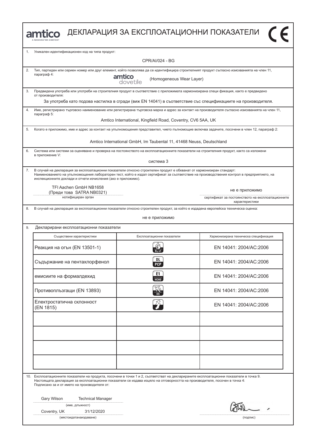**amtico** ДЕКЛАРАЦИЯ ЗА ЕКСПЛОАТАЦИОННИ ПОКАЗАТЕЛИ

| 1. | Уникален идентификационен код на типа продукт:                                                                                                                                                                                                                                                                                     |                                                                                                              |                                                                    |
|----|------------------------------------------------------------------------------------------------------------------------------------------------------------------------------------------------------------------------------------------------------------------------------------------------------------------------------------|--------------------------------------------------------------------------------------------------------------|--------------------------------------------------------------------|
|    | CPR/AI/024 - BG                                                                                                                                                                                                                                                                                                                    |                                                                                                              |                                                                    |
| 2. | Тип, партиден или сериен номер или друг елемент, който позволява да се идентифицира строителният продукт съгласно изискванията на член 11,<br>параграф 4:                                                                                                                                                                          |                                                                                                              |                                                                    |
|    |                                                                                                                                                                                                                                                                                                                                    | amtico<br>(Homogeneous Wear Layer)<br>dovetile                                                               |                                                                    |
| 3. | Предвидена употреба или употреби на строителния продукт в съответствие с приложимата хармонизирана специ фикация, както е предвидено<br>от производителя:                                                                                                                                                                          |                                                                                                              |                                                                    |
|    |                                                                                                                                                                                                                                                                                                                                    | За употреба като подова настилка в сгради (виж EN 14041) в съответствие със спецификациите на производителя. |                                                                    |
| 4. | Име, регистрирано търговско наименование или регистрирана търговска марка и адрес за контакт на производителя съгласно изискванията на член 11,<br>параграф 5:                                                                                                                                                                     |                                                                                                              |                                                                    |
|    |                                                                                                                                                                                                                                                                                                                                    | Amtico International, Kingfield Road, Coventry, CV6 5AA, UK                                                  |                                                                    |
| 5. | Когато е приложимо, име и адрес за контакт на упълномощения представител, чието пълномощие включва задачите, посочени в член 12, параграф 2:                                                                                                                                                                                       |                                                                                                              |                                                                    |
|    |                                                                                                                                                                                                                                                                                                                                    | Amtico International GmbH, Im Taubental 11, 41468 Neuss, Deutschland                                         |                                                                    |
| 6. | Система или системи за оценяване и проверка на постоянството на експлоатационните показатели на строителния продукт, както са изложени<br>в приложение V:                                                                                                                                                                          |                                                                                                              |                                                                    |
|    |                                                                                                                                                                                                                                                                                                                                    | система 3                                                                                                    |                                                                    |
| 7. | В случай на декларация за експлоатационни показатели относно строителен продукт е обхванат от хармонизиран стандарт:<br>Наименованието на упълномощения лабораторен тест, който е издал сертификат за съответствие на производствения контрол в предприятието, на<br>инспекционните доклади и отчети изчисления (ако е приложимо). |                                                                                                              |                                                                    |
|    | TFI Aachen GmbH NB1658<br>(Преди това SATRA NB0321)                                                                                                                                                                                                                                                                                |                                                                                                              | не е приложимо                                                     |
|    | нотифициран орган                                                                                                                                                                                                                                                                                                                  |                                                                                                              | сертификат за постоянството на експлоатационните<br>характеристики |
| 8. | В случай на декларация за експлоатационни показатели относно строителен продукт, за който е издадена европейска техническа оценка:                                                                                                                                                                                                 |                                                                                                              |                                                                    |
|    |                                                                                                                                                                                                                                                                                                                                    | не е приложимо                                                                                               |                                                                    |
| 9. | Декларирани експлоатационни показатели                                                                                                                                                                                                                                                                                             |                                                                                                              |                                                                    |
|    | Съществени характеристики                                                                                                                                                                                                                                                                                                          | Експлоатационни показатели                                                                                   | Хармонизирана техническа спецификация                              |
|    | Реакция на огън (EN 13501-1)                                                                                                                                                                                                                                                                                                       | $B_{\rm fl}$ -s1                                                                                             | EN 14041: 2004/AC:2006                                             |
|    | Съдържание на пентахлорфенол                                                                                                                                                                                                                                                                                                       | DL.<br><b>PCP</b>                                                                                            | EN 14041: 2004/AC:2006                                             |
|    | емисиите на формалдехид                                                                                                                                                                                                                                                                                                            | E1<br>HCHO                                                                                                   | EN 14041: 2004/AC:2006                                             |
|    | Противоплъзгащи (EN 13893)                                                                                                                                                                                                                                                                                                         | $\sim$                                                                                                       | EN 14041: 2004/AC:2006                                             |
|    | Електростатична склонност<br>(EN 1815)                                                                                                                                                                                                                                                                                             | $Z^2$                                                                                                        | EN 14041: 2004/AC:2006                                             |
|    |                                                                                                                                                                                                                                                                                                                                    |                                                                                                              |                                                                    |
|    |                                                                                                                                                                                                                                                                                                                                    |                                                                                                              |                                                                    |
|    |                                                                                                                                                                                                                                                                                                                                    |                                                                                                              |                                                                    |
|    |                                                                                                                                                                                                                                                                                                                                    |                                                                                                              |                                                                    |
|    |                                                                                                                                                                                                                                                                                                                                    |                                                                                                              |                                                                    |
|    |                                                                                                                                                                                                                                                                                                                                    |                                                                                                              |                                                                    |
|    | 10. Експлоатационните показатели на продукта, посочени в точки 1 и 2, съответстват на декларираните експлоатационни показатели в точка 9.<br>Настоящата декларация за експлоатационни показатели се издава изцяло на отговорността на производителя, посочен в точка 4:<br>Подписано за и от името на производителя от:            |                                                                                                              |                                                                    |
|    |                                                                                                                                                                                                                                                                                                                                    |                                                                                                              |                                                                    |
|    | Gary Wilson<br><b>Technical Manager</b><br>(име, длъжност)                                                                                                                                                                                                                                                                         |                                                                                                              |                                                                    |
|    | 31/12/2020<br>Coventry, UK                                                                                                                                                                                                                                                                                                         |                                                                                                              |                                                                    |
|    | (мястоидатанаиздаване)                                                                                                                                                                                                                                                                                                             |                                                                                                              | (подпис)                                                           |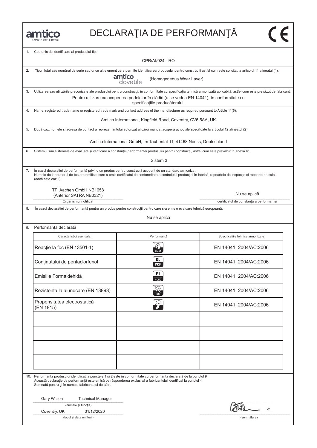

| 1. | Cod unic de identificare al produsului-tip:                                                                                                                                                                                                                                                                 |                                                                                                                                 |                                                                                                                                                                                 |
|----|-------------------------------------------------------------------------------------------------------------------------------------------------------------------------------------------------------------------------------------------------------------------------------------------------------------|---------------------------------------------------------------------------------------------------------------------------------|---------------------------------------------------------------------------------------------------------------------------------------------------------------------------------|
|    | CPR/AI/024 - RO                                                                                                                                                                                                                                                                                             |                                                                                                                                 |                                                                                                                                                                                 |
| 2. | Tipul, lotul sau numărul de serie sau orice alt element care permite identificarea produsului pentru construcții astfel cum este solicitat la articolul 11 alineatul (4):<br>amtico<br>dovetile<br>(Homogeneous Wear Layer)                                                                                 |                                                                                                                                 |                                                                                                                                                                                 |
| 3. |                                                                                                                                                                                                                                                                                                             |                                                                                                                                 | Utilizarea sau utilizările preconizate ale produsului pentru construcții, în conformitate cu specificația tehnică armonizată aplicabilă, astfel cum este prevăzut de fabricant: |
|    |                                                                                                                                                                                                                                                                                                             | Pentru utilizare ca acoperirea podelelor în clădiri (a se vedea EN 14041), în conformitate cu<br>specificațiile producătorului. |                                                                                                                                                                                 |
| 4. | Name, registered trade name or registered trade mark and contact address of the manufacturer as required pursuant to Article 11(5):                                                                                                                                                                         |                                                                                                                                 |                                                                                                                                                                                 |
|    | Amtico International, Kingfield Road, Coventry, CV6 5AA, UK                                                                                                                                                                                                                                                 |                                                                                                                                 |                                                                                                                                                                                 |
| 5. | După caz, numele și adresa de contact a reprezentantului autorizat al cărui mandat acoperă atribuțiile specificate la articolul 12 alineatul (2):                                                                                                                                                           |                                                                                                                                 |                                                                                                                                                                                 |
|    | Amtico International GmbH, Im Taubental 11, 41468 Neuss, Deutschland                                                                                                                                                                                                                                        |                                                                                                                                 |                                                                                                                                                                                 |
| 6. | Sistemul sau sistemele de evaluare și verificare a constanței performanței produsului pentru construcții, astfel cum este prevăzut în anexa V:                                                                                                                                                              |                                                                                                                                 |                                                                                                                                                                                 |
|    | Sistem 3                                                                                                                                                                                                                                                                                                    |                                                                                                                                 |                                                                                                                                                                                 |
| 7. | În cazul declarației de performanță privind un produs pentru construcții acoperit de un standard armonizat:<br>Numele de laboratorul de testare notificat care a emis certificatul de conformitate a controlului producției în fabrică, rapoartele de inspecție și rapoarte de calcul<br>(dacă este cazul). |                                                                                                                                 |                                                                                                                                                                                 |
|    | TFI Aachen GmbH NB1658<br>(Anterior SATRA NB0321)                                                                                                                                                                                                                                                           |                                                                                                                                 | Nu se aplică                                                                                                                                                                    |
|    | Organismul notificat                                                                                                                                                                                                                                                                                        |                                                                                                                                 | certificatul de constanță a performanței                                                                                                                                        |
| 8. |                                                                                                                                                                                                                                                                                                             | În cazul declarației de performanță pentru un produs pentru construcții pentru care s-a emis o evaluare tehnică europeană:      |                                                                                                                                                                                 |
|    |                                                                                                                                                                                                                                                                                                             | Nu se aplică                                                                                                                    |                                                                                                                                                                                 |
| 9. | Performanța declarată                                                                                                                                                                                                                                                                                       |                                                                                                                                 |                                                                                                                                                                                 |
|    | Caracteristici esențiale:                                                                                                                                                                                                                                                                                   | Performanță                                                                                                                     | Specificațiile tehnice armonizate                                                                                                                                               |
|    | Reacție la foc (EN 13501-1)                                                                                                                                                                                                                                                                                 | $B_{fl}$ -s1                                                                                                                    | EN 14041: 2004/AC:2006                                                                                                                                                          |
|    | Conținutului de pentaclorfenol                                                                                                                                                                                                                                                                              | DL<br><b>PCP</b>                                                                                                                | EN 14041: 2004/AC:2006                                                                                                                                                          |
|    | Emisiile Formaldehidă                                                                                                                                                                                                                                                                                       | E1<br>НСНО                                                                                                                      | EN 14041: 2004/AC:2006                                                                                                                                                          |
|    | Rezistenta la alunecare (EN 13893)                                                                                                                                                                                                                                                                          |                                                                                                                                 | EN 14041: 2004/AC:2006                                                                                                                                                          |
|    | Propensitatea electrostatică<br>(EN 1815)                                                                                                                                                                                                                                                                   | 24                                                                                                                              | EN 14041: 2004/AC:2006                                                                                                                                                          |
|    |                                                                                                                                                                                                                                                                                                             |                                                                                                                                 |                                                                                                                                                                                 |
|    |                                                                                                                                                                                                                                                                                                             |                                                                                                                                 |                                                                                                                                                                                 |
|    |                                                                                                                                                                                                                                                                                                             |                                                                                                                                 |                                                                                                                                                                                 |
|    |                                                                                                                                                                                                                                                                                                             |                                                                                                                                 |                                                                                                                                                                                 |
|    |                                                                                                                                                                                                                                                                                                             |                                                                                                                                 |                                                                                                                                                                                 |
|    | 10. Performanța produsului identificat la punctele 1 și 2 este în conformitate cu performanța declarată de la punctul 9<br>Semnată pentru și în numele fabricantului de către:                                                                                                                              | Această declarație de performanță este emisă pe răspunderea exclusivă a fabricantului identificat la punctul 4                  |                                                                                                                                                                                 |
|    | Gary Wilson<br><b>Technical Manager</b>                                                                                                                                                                                                                                                                     |                                                                                                                                 |                                                                                                                                                                                 |
|    | (numele și funcția)<br>Coventry, UK<br>31/12/2020                                                                                                                                                                                                                                                           |                                                                                                                                 |                                                                                                                                                                                 |
|    | (locul și data emiterii)                                                                                                                                                                                                                                                                                    |                                                                                                                                 | (semnătura)                                                                                                                                                                     |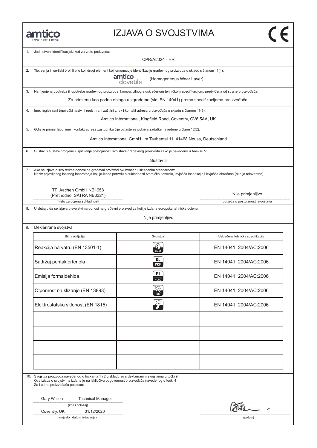#### IZJAVA O SVOJSTVIMA

| 1. | Jedinstveni identifikacijski kod za vrstu proizvoda:<br>CPR/AI/024 - HR                                                                                                                                                                                  |                                                                                            |                                                       |
|----|----------------------------------------------------------------------------------------------------------------------------------------------------------------------------------------------------------------------------------------------------------|--------------------------------------------------------------------------------------------|-------------------------------------------------------|
| 2. | Tip, serija ili serijski broj ili bilo koji drugi element koji omogućuje identifikaciju građevnog proizvoda u skladu s članom 11(4):                                                                                                                     | amtico<br>(Homogeneous Wear Layer)<br>dovetile                                             |                                                       |
| 3. | Namjenjena upotreba ili upotrebe građevnog proizvoda, kompatibilnog s usklađenom tehničkom specifikacijom, predviđena od strane proizvođača:                                                                                                             |                                                                                            |                                                       |
|    |                                                                                                                                                                                                                                                          | Za primjenu kao podna obloga u zgradama (vidi EN 14041) prema specifikacijama proizvođača. |                                                       |
| 4. | Ime, registrirani trgovački naziv ili registrirani zaštitni znak i kontakt adresa proizvođača u skladu s članom 11(5):                                                                                                                                   |                                                                                            |                                                       |
|    | Amtico International, Kingfield Road, Coventry, CV6 5AA, UK                                                                                                                                                                                              |                                                                                            |                                                       |
| 5. | Gdje je primjenljivo, ime i kontakt adresa zastupnika čije ovlaštenje pokriva zadatke navedene u članu 12(2):                                                                                                                                            |                                                                                            |                                                       |
|    | Amtico International GmbH, Im Taubental 11, 41468 Neuss, Deutschland                                                                                                                                                                                     |                                                                                            |                                                       |
| 6. | Sustav ili sustavi procjene i ispitivanja postojanosti svojstava građevnog proizvoda kako je navedeno u Aneksu V:                                                                                                                                        |                                                                                            |                                                       |
|    |                                                                                                                                                                                                                                                          | Sustav 3                                                                                   |                                                       |
| 7. | Ako se izjava o svojstvima odnosi na građevni proizvod ovuhvaćen usklađenim standardom:<br>Naziv prijavljenog ispitnog laboratorija koji je izdao potvrdu o sukladnosti tvorničke kontrole, izvješća inspekcije i izvješća obračuna (ako je relevantno). |                                                                                            |                                                       |
|    | TFI Aachen GmbH NB1658                                                                                                                                                                                                                                   |                                                                                            |                                                       |
|    | (Prethodno SATRA NB0321)<br>Tijelo za ocjenu sukladnosti                                                                                                                                                                                                 |                                                                                            | Nije primjenljivo<br>potvrda o postojanosti svojstava |
| 8. | U slučaju da se izjava o svojstvima odnosi na građevni proizvod za koji je izdana europska tehnička ocjena:                                                                                                                                              |                                                                                            |                                                       |
|    |                                                                                                                                                                                                                                                          | Nije primjenljivo                                                                          |                                                       |
| 9. | Deklarirana svojstva                                                                                                                                                                                                                                     |                                                                                            |                                                       |
|    | Bitna obilježja                                                                                                                                                                                                                                          | Svojstva                                                                                   | Usklađena tehnička specifikacija                      |
|    | Reakcija na vatru (EN 13501-1)                                                                                                                                                                                                                           | $B_{11}$ -s1                                                                               | EN 14041: 2004/AC:2006                                |
|    | Sadržaj pentaklorfenola                                                                                                                                                                                                                                  | DL<br><b>PCP</b>                                                                           | EN 14041: 2004/AC:2006                                |
|    | Emisija formaldehida                                                                                                                                                                                                                                     | E1<br><b>HCHO</b>                                                                          | EN 14041: 2004/AC:2006                                |
|    | Otpornost na klizanje (EN 13893)                                                                                                                                                                                                                         |                                                                                            | EN 14041: 2004/AC:2006                                |
|    | Elektrostatska sklonost (EN 1815)                                                                                                                                                                                                                        |                                                                                            | EN 14041: 2004/AC:2006                                |
|    |                                                                                                                                                                                                                                                          |                                                                                            |                                                       |
|    |                                                                                                                                                                                                                                                          |                                                                                            |                                                       |
|    |                                                                                                                                                                                                                                                          |                                                                                            |                                                       |
|    |                                                                                                                                                                                                                                                          |                                                                                            |                                                       |
|    |                                                                                                                                                                                                                                                          |                                                                                            |                                                       |
|    | 10. Svojstva proizvoda navedenog u točkama 1 i 2 u skladu su s deklariranim svojstvima u točki 9.<br>Ova izjava o svojstvima izdana je na isključivu odgovornost proizvođača navedenog u točki 4<br>Za i u ime proizvođača potpisao:                     |                                                                                            |                                                       |
|    | Gary Wilson<br><b>Technical Manager</b>                                                                                                                                                                                                                  |                                                                                            |                                                       |
|    | (ime i položaj)                                                                                                                                                                                                                                          |                                                                                            |                                                       |
|    | Coventry, UK<br>31/12/2020                                                                                                                                                                                                                               |                                                                                            |                                                       |
|    | (mjesto i datum izdavanja)                                                                                                                                                                                                                               |                                                                                            | (potpis)                                              |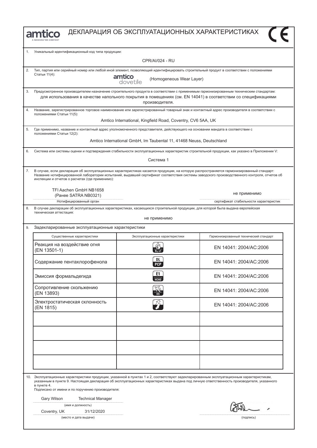



|    | Уникальный идентификационный код типа продукции:                                                                                                                                                                                                                                                                                                             |                                                                      |                                        |
|----|--------------------------------------------------------------------------------------------------------------------------------------------------------------------------------------------------------------------------------------------------------------------------------------------------------------------------------------------------------------|----------------------------------------------------------------------|----------------------------------------|
|    | <b>CPR/AI/024 - RU</b>                                                                                                                                                                                                                                                                                                                                       |                                                                      |                                        |
| 2. | Тип, партия или серийный номер или любой иной элемент, позволяющий идентифицировать строительный продукт в соответствии с положениями<br>Статьи 11(4):<br>amtico<br>dovetile<br>(Homogeneous Wear Layer)                                                                                                                                                     |                                                                      |                                        |
| 3. | Предусмотренное производителем назначение строительного продукта в соответствии с применимым гармонизированным техническим стандартам:<br>для использования в качестве напольного покрытия в помещениях (см. EN 14041) в соответствии со спецификациями<br>производителя.                                                                                    |                                                                      |                                        |
| 4. | Название, зарегистрированное торговое наименование или зарегистрированный товарный знак и контактный адрес производителя в соответствии с<br>положениями Статьи 11(5):<br>Amtico International, Kingfield Road, Coventry, CV6 5AA, UK                                                                                                                        |                                                                      |                                        |
| 5. | Где применимо, название и контактный адрес уполномоченного представителя, действующего на основании мандата в соответствии с<br>положениями Статьи 12(2):                                                                                                                                                                                                    |                                                                      |                                        |
|    |                                                                                                                                                                                                                                                                                                                                                              | Amtico International GmbH, Im Taubental 11, 41468 Neuss, Deutschland |                                        |
| 6. | Система или системы оценки и подтверждения стабильности эксплуатационных характеристик строительной продукции, как указано в Приложении V:                                                                                                                                                                                                                   |                                                                      |                                        |
|    | Система 1                                                                                                                                                                                                                                                                                                                                                    |                                                                      |                                        |
| 7. | В случае, если декларация об эксплуатационных характеристиках касается продукции, на которую распространяется гармонизированный стандарт:<br>Название нотифицированной лаборатории испытаний, выдавшей сертификат соответствия системы заводского производственного контроля, отчетов об<br>инспекции и отчетов о расчетах (где применимо):                  |                                                                      |                                        |
|    | TFI Aachen GmbH NB1658<br>(Ранее SATRA NB0321)                                                                                                                                                                                                                                                                                                               |                                                                      | не применимо                           |
|    | Нотифицированный орган                                                                                                                                                                                                                                                                                                                                       |                                                                      | сертификат стабильности характеристик  |
|    | 8.<br>В случае декларации об эксплуатационных характеристиках, касающихся строительной продукции, для которой была выдана европейская<br>техническая аттестация:<br>не применимо                                                                                                                                                                             |                                                                      |                                        |
| 9. | Задекларированные эксплуатационные характеристики                                                                                                                                                                                                                                                                                                            |                                                                      |                                        |
|    | Существенные характеристики                                                                                                                                                                                                                                                                                                                                  | Эксплуатационные характеристики                                      | Гармонизированный технический стандарт |
|    | Реакция на воздействие огня<br>(EN 13501-1)                                                                                                                                                                                                                                                                                                                  |                                                                      | EN 14041: 2004/AC:2006                 |
|    | Содержание пентахлорофенола                                                                                                                                                                                                                                                                                                                                  | DL<br><b>PCP</b>                                                     | EN 14041: 2004/AC:2006                 |
|    | Эмиссия формальдегида                                                                                                                                                                                                                                                                                                                                        | E1<br><b>HCHO</b>                                                    | EN 14041: 2004/AC:2006                 |
|    | Сопротивление скольжению<br>(EN 13893)                                                                                                                                                                                                                                                                                                                       |                                                                      | EN 14041: 2004/AC:2006                 |
|    | Электростатическая склонность<br>(EN 1815)                                                                                                                                                                                                                                                                                                                   |                                                                      | EN 14041: 2004/AC:2006                 |
|    |                                                                                                                                                                                                                                                                                                                                                              |                                                                      |                                        |
|    |                                                                                                                                                                                                                                                                                                                                                              |                                                                      |                                        |
|    |                                                                                                                                                                                                                                                                                                                                                              |                                                                      |                                        |
|    |                                                                                                                                                                                                                                                                                                                                                              |                                                                      |                                        |
|    | 10. Эксплуатационные характеристики продукции, указанной в пунктах 1 и 2, соответствуют задекларированным эксплуатационным характеристикам,<br>указанным в пункте 9. Настоящая декларация об эксплуатационных характеристиках выдана под личную ответственность производителя, указанного<br>в пункте 4.<br>Подписано от имени и по поручению производителя: |                                                                      |                                        |
|    | Gary Wilson<br><b>Technical Manager</b><br>(имя и должность)                                                                                                                                                                                                                                                                                                 |                                                                      |                                        |
|    | Coventry, UK<br>31/12/2020                                                                                                                                                                                                                                                                                                                                   |                                                                      |                                        |
|    | (место и дата выдачи)                                                                                                                                                                                                                                                                                                                                        |                                                                      | (подпись)                              |